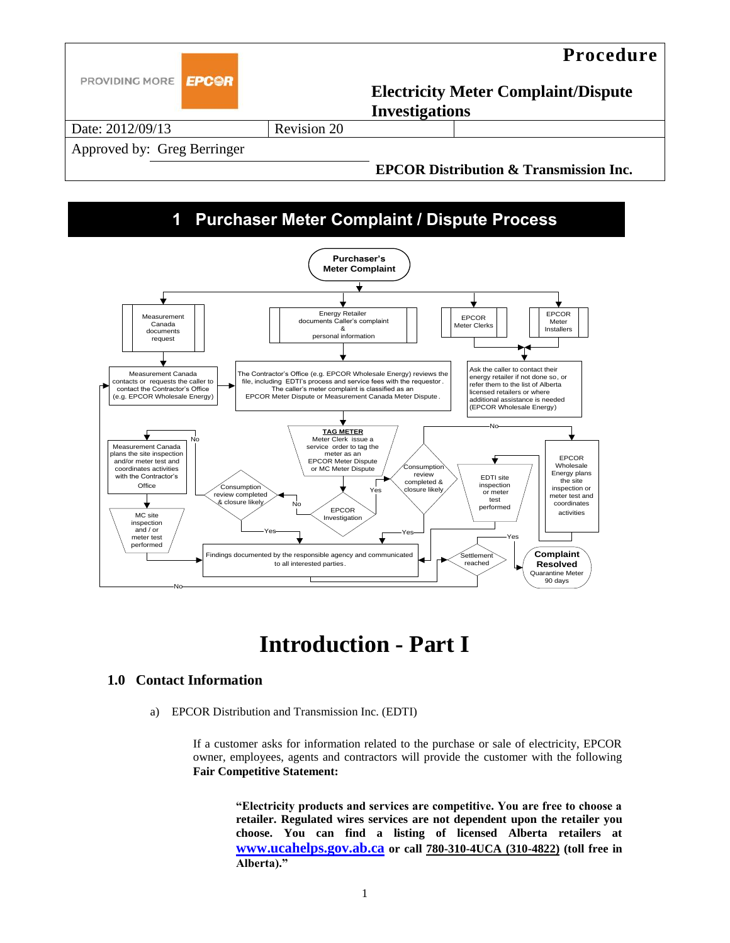

## **1 Purchaser Meter Complaint / Dispute Process**



# **Introduction - Part I**

#### **1.0 Contact Information**

a) EPCOR Distribution and Transmission Inc. (EDTI)

If a customer asks for information related to the purchase or sale of electricity, EPCOR owner, employees, agents and contractors will provide the customer with the following **Fair Competitive Statement:**

**"Electricity products and services are competitive. You are free to choose a retailer. Regulated wires services are not dependent upon the retailer you choose. You can find a listing of licensed Alberta retailers at [www.ucahelps.gov.ab.ca](http://www.ucahelps.gov.ab.ca/) or call 780-310-4UCA (310-4822) (toll free in**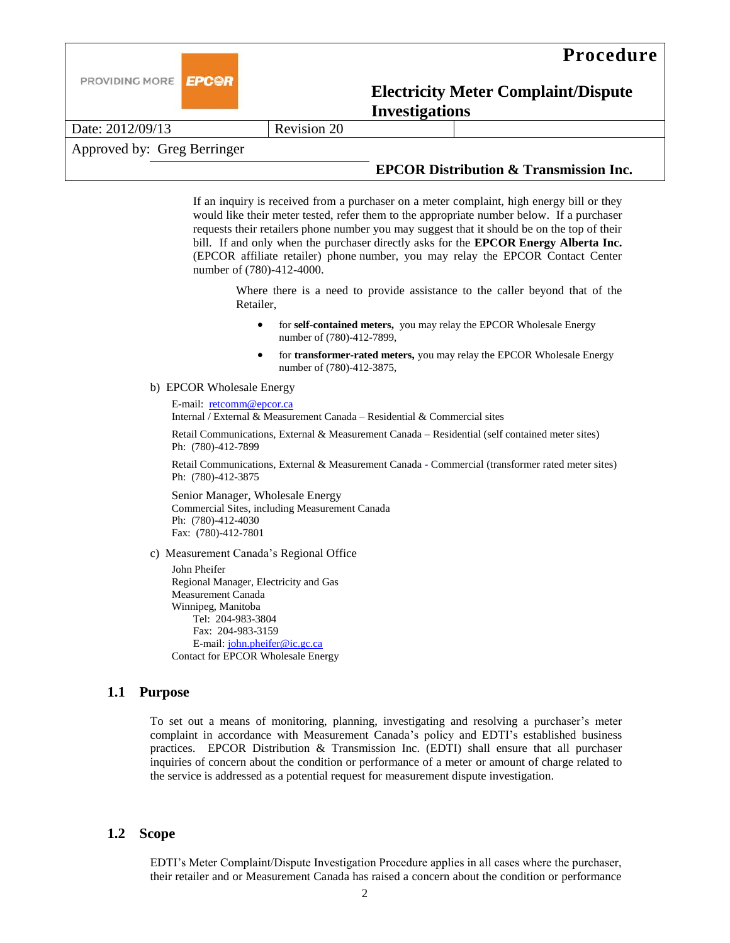



Date: 2012/09/13 Revision 20

Approved by: Greg Berringer

### **EPCOR Distribution & Transmission Inc.**

If an inquiry is received from a purchaser on a meter complaint, high energy bill or they would like their meter tested, refer them to the appropriate number below. If a purchaser requests their retailers phone number you may suggest that it should be on the top of their bill. If and only when the purchaser directly asks for the **EPCOR Energy Alberta Inc.** (EPCOR affiliate retailer) phone number, you may relay the EPCOR Contact Center number of (780)-412-4000.

Where there is a need to provide assistance to the caller beyond that of the Retailer,

- for **self-contained meters,** you may relay the EPCOR Wholesale Energy number of (780)-412-7899,
- for **transformer-rated meters,** you may relay the EPCOR Wholesale Energy number of (780)-412-3875,
- b) EPCOR Wholesale Energy

E-mail: [retcomm@epcor.ca](mailto:retcomm@epcor.ca) Internal / External & Measurement Canada – Residential & Commercial sites

Retail Communications, External & Measurement Canada – Residential (self contained meter sites) Ph: (780)-412-7899

Retail Communications, External & Measurement Canada - Commercial (transformer rated meter sites) Ph: (780)-412-3875

Senior Manager, Wholesale Energy Commercial Sites, including Measurement Canada Ph: (780)-412-4030 Fax: (780)-412-7801

c) Measurement Canada's Regional Office

John Pheifer Regional Manager, Electricity and Gas Measurement Canada Winnipeg, Manitoba Tel: 204-983-3804 Fax: 204-983-3159 E-mail: [john.pheifer@ic.gc.ca](mailto:john.pheifer@ic.gc.ca) Contact for EPCOR Wholesale Energy

#### **1.1 Purpose**

To set out a means of monitoring, planning, investigating and resolving a purchaser's meter complaint in accordance with Measurement Canada's policy and EDTI's established business practices. EPCOR Distribution & Transmission Inc. (EDTI) shall ensure that all purchaser inquiries of concern about the condition or performance of a meter or amount of charge related to the service is addressed as a potential request for measurement dispute investigation.

#### **1.2 Scope**

EDTI's Meter Complaint/Dispute Investigation Procedure applies in all cases where the purchaser, their retailer and or Measurement Canada has raised a concern about the condition or performance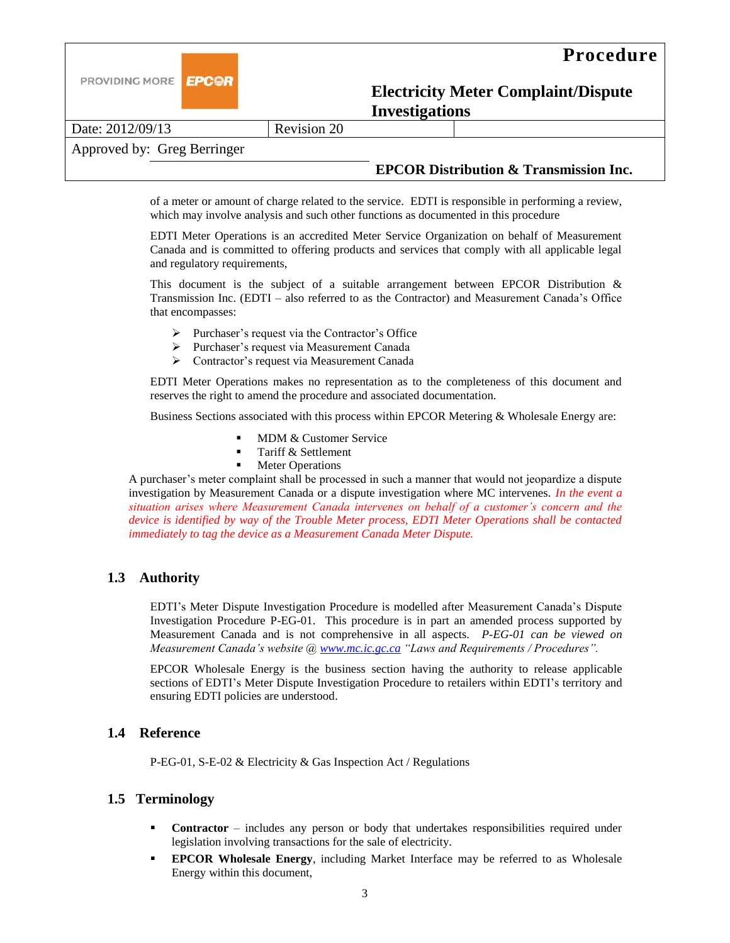

Date: 2012/09/13 Revision 20

Approved by: Greg Berringer

### **EPCOR Distribution & Transmission Inc.**

of a meter or amount of charge related to the service. EDTI is responsible in performing a review, which may involve analysis and such other functions as documented in this procedure

EDTI Meter Operations is an accredited Meter Service Organization on behalf of Measurement Canada and is committed to offering products and services that comply with all applicable legal and regulatory requirements,

This document is the subject of a suitable arrangement between EPCOR Distribution  $\&$ Transmission Inc. (EDTI – also referred to as the Contractor) and Measurement Canada's Office that encompasses:

- Purchaser's request via the Contractor's Office
- Purchaser's request via Measurement Canada
- Contractor's request via Measurement Canada

EDTI Meter Operations makes no representation as to the completeness of this document and reserves the right to amend the procedure and associated documentation.

Business Sections associated with this process within EPCOR Metering & Wholesale Energy are:

- MDM & Customer Service
- Tariff & Settlement
- **Meter Operations**

A purchaser's meter complaint shall be processed in such a manner that would not jeopardize a dispute investigation by Measurement Canada or a dispute investigation where MC intervenes. *In the event a situation arises where Measurement Canada intervenes on behalf of a customer's concern and the device is identified by way of the Trouble Meter process, EDTI Meter Operations shall be contacted immediately to tag the device as a Measurement Canada Meter Dispute.* 

## **1.3 Authority**

EDTI's Meter Dispute Investigation Procedure is modelled after Measurement Canada's Dispute Investigation Procedure P-EG-01. This procedure is in part an amended process supported by Measurement Canada and is not comprehensive in all aspects. *P-EG-01 can be viewed on Measurement Canada's website @ [www.mc.ic.gc.ca](http://www.mc.ic.gc.ca/) "Laws and Requirements / Procedures".* 

EPCOR Wholesale Energy is the business section having the authority to release applicable sections of EDTI's Meter Dispute Investigation Procedure to retailers within EDTI's territory and ensuring EDTI policies are understood.

## **1.4 Reference**

P-EG-01, S-E-02 & Electricity & Gas Inspection Act / Regulations

#### **1.5 Terminology**

- **Contractor** includes any person or body that undertakes responsibilities required under legislation involving transactions for the sale of electricity.
- **EPCOR Wholesale Energy**, including Market Interface may be referred to as Wholesale Energy within this document,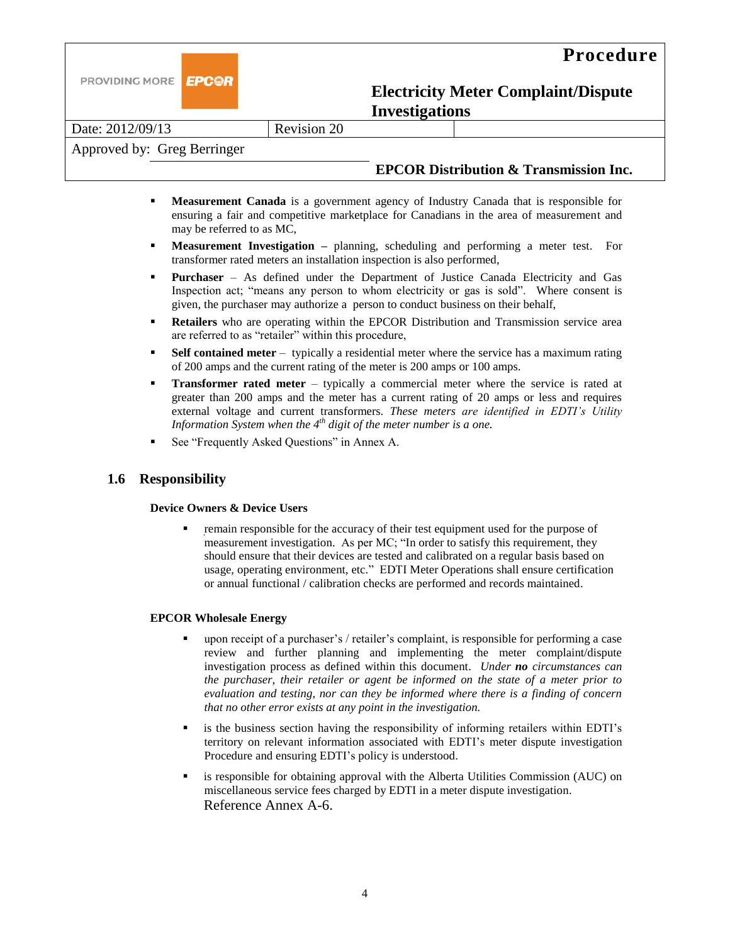



Date: 2012/09/13 Revision 20

### Approved by: Greg Berringer

### **EPCOR Distribution & Transmission Inc.**

- **Measurement Canada** is a government agency of Industry Canada that is responsible for ensuring a fair and competitive marketplace for Canadians in the area of measurement and may be referred to as MC,
- **Measurement Investigation –** planning, scheduling and performing a meter test. For transformer rated meters an installation inspection is also performed,
- **Purchaser** As defined under the Department of Justice Canada Electricity and Gas Inspection act; "means any person to whom electricity or gas is sold". Where consent is given, the purchaser may authorize a person to conduct business on their behalf,
- **Retailers** who are operating within the EPCOR Distribution and Transmission service area are referred to as "retailer" within this procedure,
- **Self contained meter** typically a residential meter where the service has a maximum rating of 200 amps and the current rating of the meter is 200 amps or 100 amps.
- **Transformer rated meter** typically a commercial meter where the service is rated at greater than 200 amps and the meter has a current rating of 20 amps or less and requires external voltage and current transformers. *These meters are identified in EDTI's Utility Information System when the 4th digit of the meter number is a one.*
- See "Frequently Asked Questions" in Annex A.

#### **1.6 Responsibility**

#### **Device Owners & Device Users**

 remain responsible for the accuracy of their test equipment used for the purpose of measurement investigation. As per MC; "In order to satisfy this requirement, they should ensure that their devices are tested and calibrated on a regular basis based on usage, operating environment, etc." EDTI Meter Operations shall ensure certification or annual functional / calibration checks are performed and records maintained.

#### **EPCOR Wholesale Energy**

- upon receipt of a purchaser's / retailer's complaint, is responsible for performing a case review and further planning and implementing the meter complaint/dispute investigation process as defined within this document. *Under no circumstances can the purchaser, their retailer or agent be informed on the state of a meter prior to evaluation and testing, nor can they be informed where there is a finding of concern that no other error exists at any point in the investigation.*
- is the business section having the responsibility of informing retailers within EDTI's territory on relevant information associated with EDTI's meter dispute investigation Procedure and ensuring EDTI's policy is understood.
- is responsible for obtaining approval with the Alberta Utilities Commission (AUC) on miscellaneous service fees charged by EDTI in a meter dispute investigation. Reference Annex A-6.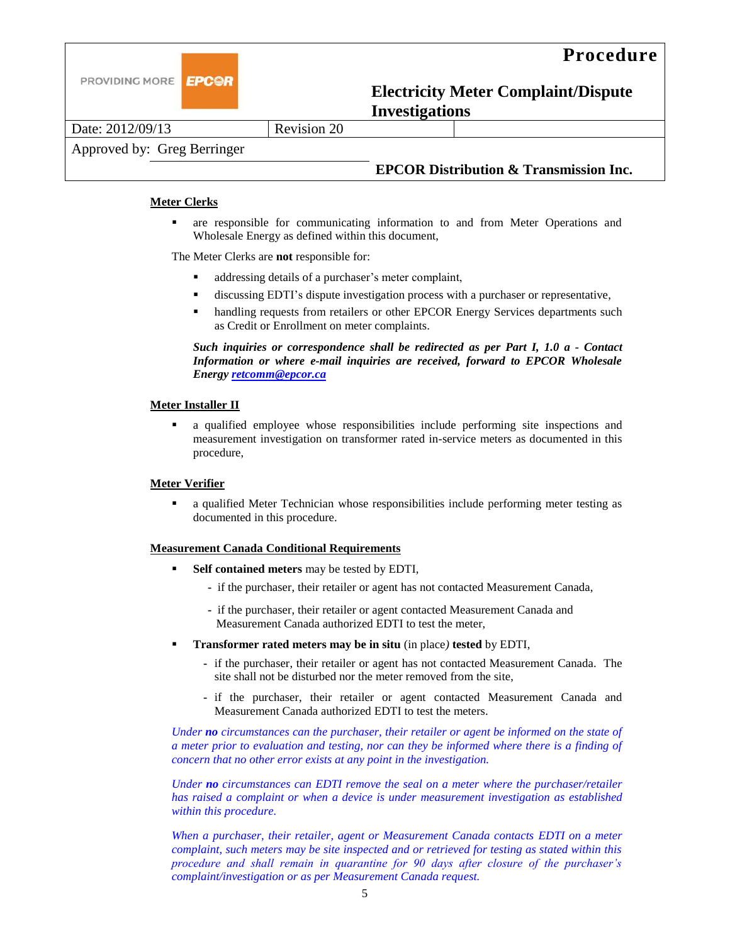

Date: 2012/09/13 Revision 20

Approved by: Greg Berringer

## **EPCOR Distribution & Transmission Inc.**

#### **Meter Clerks**

 are responsible for communicating information to and from Meter Operations and Wholesale Energy as defined within this document,

The Meter Clerks are **not** responsible for:

- addressing details of a purchaser's meter complaint,
- discussing EDTI's dispute investigation process with a purchaser or representative,
- handling requests from retailers or other EPCOR Energy Services departments such as Credit or Enrollment on meter complaints.

*Such inquiries or correspondence shall be redirected as per Part I, 1.0 a - Contact Information or where e-mail inquiries are received, forward to EPCOR Wholesale Energy [retcomm@epcor.ca](mailto:retcomm@epcor.ca)*

#### **Meter Installer II**

 a qualified employee whose responsibilities include performing site inspections and measurement investigation on transformer rated in-service meters as documented in this procedure,

#### **Meter Verifier**

 a qualified Meter Technician whose responsibilities include performing meter testing as documented in this procedure.

#### **Measurement Canada Conditional Requirements**

- **Self contained meters** may be tested by EDTI,
	- if the purchaser, their retailer or agent has not contacted Measurement Canada,
	- if the purchaser, their retailer or agent contacted Measurement Canada and Measurement Canada authorized EDTI to test the meter,
- **Transformer rated meters may be in situ** (in place*)* **tested** by EDTI,
	- **-** if the purchaser, their retailer or agent has not contacted Measurement Canada. The site shall not be disturbed nor the meter removed from the site,
	- **-** if the purchaser, their retailer or agent contacted Measurement Canada and Measurement Canada authorized EDTI to test the meters.

*Under no circumstances can the purchaser, their retailer or agent be informed on the state of a meter prior to evaluation and testing, nor can they be informed where there is a finding of concern that no other error exists at any point in the investigation.*

*Under no circumstances can EDTI remove the seal on a meter where the purchaser/retailer has raised a complaint or when a device is under measurement investigation as established within this procedure.*

*When a purchaser, their retailer, agent or Measurement Canada contacts EDTI on a meter complaint, such meters may be site inspected and or retrieved for testing as stated within this procedure and shall remain in quarantine for 90 days after closure of the purchaser's complaint/investigation or as per Measurement Canada request.*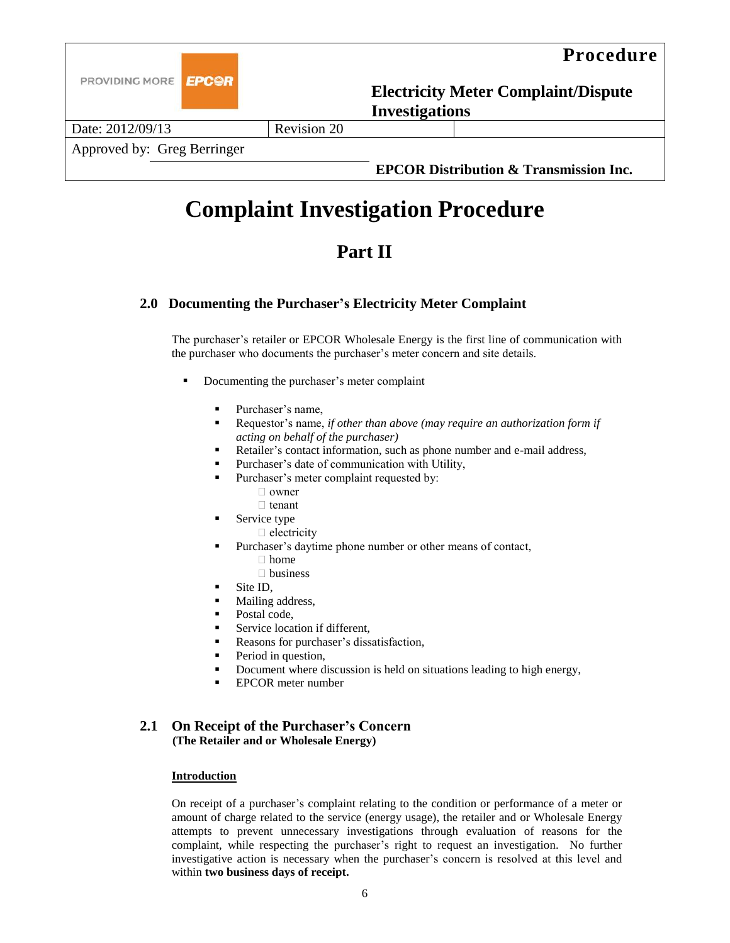

# **Complaint Investigation Procedure**

## **Part II**

## **2.0 Documenting the Purchaser's Electricity Meter Complaint**

The purchaser's retailer or EPCOR Wholesale Energy is the first line of communication with the purchaser who documents the purchaser's meter concern and site details.

- Documenting the purchaser's meter complaint
	- Purchaser's name,
	- Requestor's name, *if other than above (may require an authorization form if acting on behalf of the purchaser)*
	- Retailer's contact information, such as phone number and e-mail address,
	- Purchaser's date of communication with Utility,
	- Purchaser's meter complaint requested by:
		- □ owner
		- $\Box$  tenant
	- Service type
		- $\Box$  electricity
		- Purchaser's daytime phone number or other means of contact,
			- $\Box$  home
			- □ business
	- Site ID,
	- Mailing address,
	- Postal code,
	- Service location if different,
	- Reasons for purchaser's dissatisfaction*,*
	- Period in question,
	- Document where discussion is held on situations leading to high energy,
	- EPCOR meter number

#### **2.1 On Receipt of the Purchaser's Concern (The Retailer and or Wholesale Energy)**

#### **Introduction**

On receipt of a purchaser's complaint relating to the condition or performance of a meter or amount of charge related to the service (energy usage), the retailer and or Wholesale Energy attempts to prevent unnecessary investigations through evaluation of reasons for the complaint, while respecting the purchaser's right to request an investigation. No further investigative action is necessary when the purchaser's concern is resolved at this level and within **two business days of receipt.**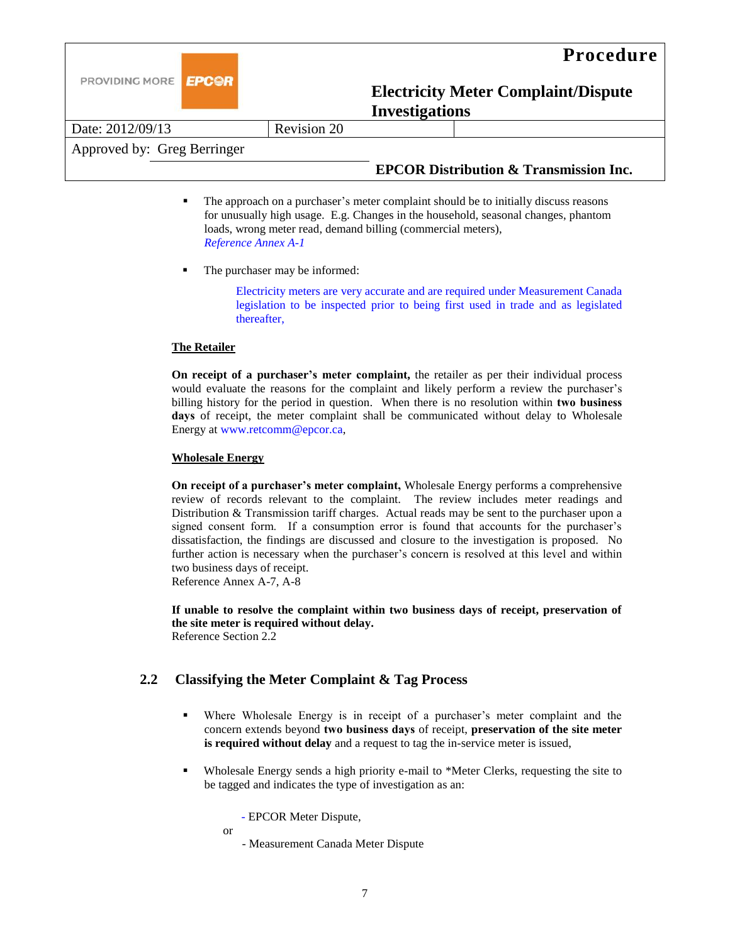

Date: 2012/09/13 Revision 20

Approved by: Greg Berringer

### **EPCOR Distribution & Transmission Inc.**

- The approach on a purchaser's meter complaint should be to initially discuss reasons for unusually high usage. E.g. Changes in the household, seasonal changes, phantom loads, wrong meter read, demand billing (commercial meters), *Reference Annex A-1*
- The purchaser may be informed:

Electricity meters are very accurate and are required under Measurement Canada legislation to be inspected prior to being first used in trade and as legislated thereafter,

#### **The Retailer**

**On receipt of a purchaser's meter complaint,** the retailer as per their individual process would evaluate the reasons for the complaint and likely perform a review the purchaser's billing history for the period in question. When there is no resolution within **two business**  days of receipt, the meter complaint shall be communicated without delay to Wholesale Energy at www.retcomm@epcor.ca,

#### **Wholesale Energy**

**On receipt of a purchaser's meter complaint,** Wholesale Energy performs a comprehensive review of records relevant to the complaint. The review includes meter readings and Distribution & Transmission tariff charges. Actual reads may be sent to the purchaser upon a signed consent form. If a consumption error is found that accounts for the purchaser's dissatisfaction, the findings are discussed and closure to the investigation is proposed. No further action is necessary when the purchaser's concern is resolved at this level and within two business days of receipt. Reference Annex A-7, A-8

**If unable to resolve the complaint within two business days of receipt, preservation of the site meter is required without delay.**  Reference Section 2.2

## **2.2 Classifying the Meter Complaint & Tag Process**

- Where Wholesale Energy is in receipt of a purchaser's meter complaint and the concern extends beyond **two business days** of receipt, **preservation of the site meter is required without delay** and a request to tag the in-service meter is issued,
- Wholesale Energy sends a high priority e-mail to \*Meter Clerks, requesting the site to be tagged and indicates the type of investigation as an:

- EPCOR Meter Dispute,

or

- Measurement Canada Meter Dispute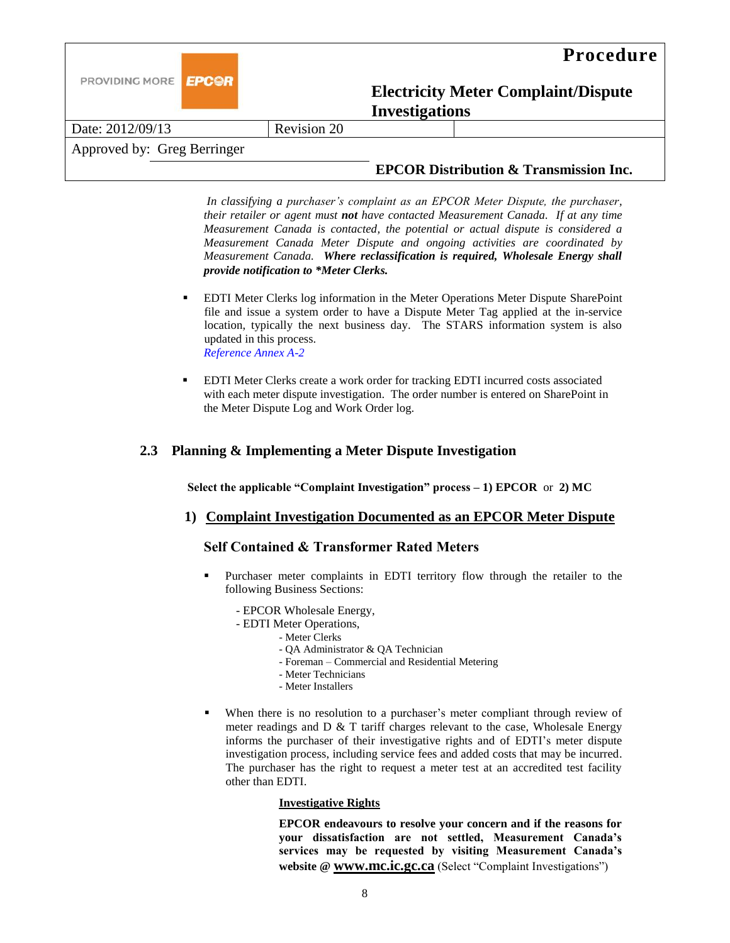

Date: 2012/09/13 Revision 20

Approved by: Greg Berringer

## **EPCOR Distribution & Transmission Inc.**

*In classifying a purchaser's complaint as an EPCOR Meter Dispute, the purchaser, their retailer or agent must not have contacted Measurement Canada. If at any time Measurement Canada is contacted, the potential or actual dispute is considered a Measurement Canada Meter Dispute and ongoing activities are coordinated by Measurement Canada. Where reclassification is required, Wholesale Energy shall provide notification to \*Meter Clerks.*

- EDTI Meter Clerks log information in the Meter Operations Meter Dispute SharePoint file and issue a system order to have a Dispute Meter Tag applied at the in-service location, typically the next business day. The STARS information system is also updated in this process. *Reference Annex A-2*
- EDTI Meter Clerks create a work order for tracking EDTI incurred costs associated with each meter dispute investigation. The order number is entered on SharePoint in the Meter Dispute Log and Work Order log.

## **2.3 Planning & Implementing a Meter Dispute Investigation**

**Select the applicable "Complaint Investigation" process – 1) EPCOR** or **2) MC**

## **1) Complaint Investigation Documented as an EPCOR Meter Dispute**

## **Self Contained & Transformer Rated Meters**

- Purchaser meter complaints in EDTI territory flow through the retailer to the following Business Sections:
	- EPCOR Wholesale Energy,
	- EDTI Meter Operations,
		- Meter Clerks
		- QA Administrator & QA Technician
		- Foreman Commercial and Residential Metering
		- Meter Technicians
		- Meter Installers
- When there is no resolution to a purchaser's meter compliant through review of meter readings and D & T tariff charges relevant to the case, Wholesale Energy informs the purchaser of their investigative rights and of EDTI's meter dispute investigation process, including service fees and added costs that may be incurred. The purchaser has the right to request a meter test at an accredited test facility other than EDTI.

#### **Investigative Rights**

**EPCOR endeavours to resolve your concern and if the reasons for your dissatisfaction are not settled, Measurement Canada's services may be requested by visiting Measurement Canada's website @ [www.mc.ic.gc.ca](http://www.mc.ic.gc.ca/)** (Select "Complaint Investigations")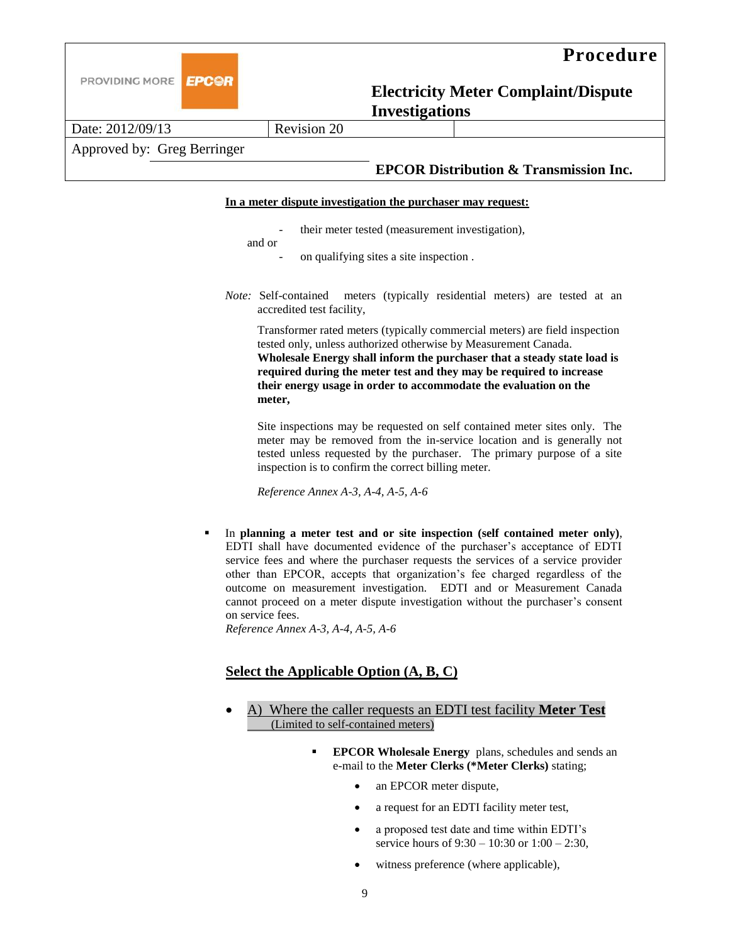

Date: 2012/09/13 Revision 20

## Approved by: Greg Berringer

## **EPCOR Distribution & Transmission Inc.**

#### **In a meter dispute investigation the purchaser may request:**

their meter tested (measurement investigation),

and or

- on qualifying sites a site inspection.
- *Note:* Self-contained meters (typically residential meters) are tested at an accredited test facility,

Transformer rated meters (typically commercial meters) are field inspection tested only, unless authorized otherwise by Measurement Canada. **Wholesale Energy shall inform the purchaser that a steady state load is required during the meter test and they may be required to increase their energy usage in order to accommodate the evaluation on the meter,**

Site inspections may be requested on self contained meter sites only. The meter may be removed from the in-service location and is generally not tested unless requested by the purchaser. The primary purpose of a site inspection is to confirm the correct billing meter.

*Reference Annex A-3, A-4, A-5, A-6*

 In **planning a meter test and or site inspection (self contained meter only)**, EDTI shall have documented evidence of the purchaser's acceptance of EDTI service fees and where the purchaser requests the services of a service provider other than EPCOR, accepts that organization's fee charged regardless of the outcome on measurement investigation. EDTI and or Measurement Canada cannot proceed on a meter dispute investigation without the purchaser's consent on service fees.

*Reference Annex A-3, A-4, A-5, A-6*

## **Select the Applicable Option (A, B, C)**

- A) Where the caller requests an EDTI test facility **Meter Test**  (Limited to self-contained meters)
	- **EPCOR Wholesale Energy** plans, schedules and sends an e-mail to the **Meter Clerks (\*Meter Clerks)** stating;
		- an EPCOR meter dispute,
		- a request for an EDTI facility meter test,
		- a proposed test date and time within EDTI's service hours of 9:30 – 10:30 or 1:00 – 2:30,
		- witness preference (where applicable),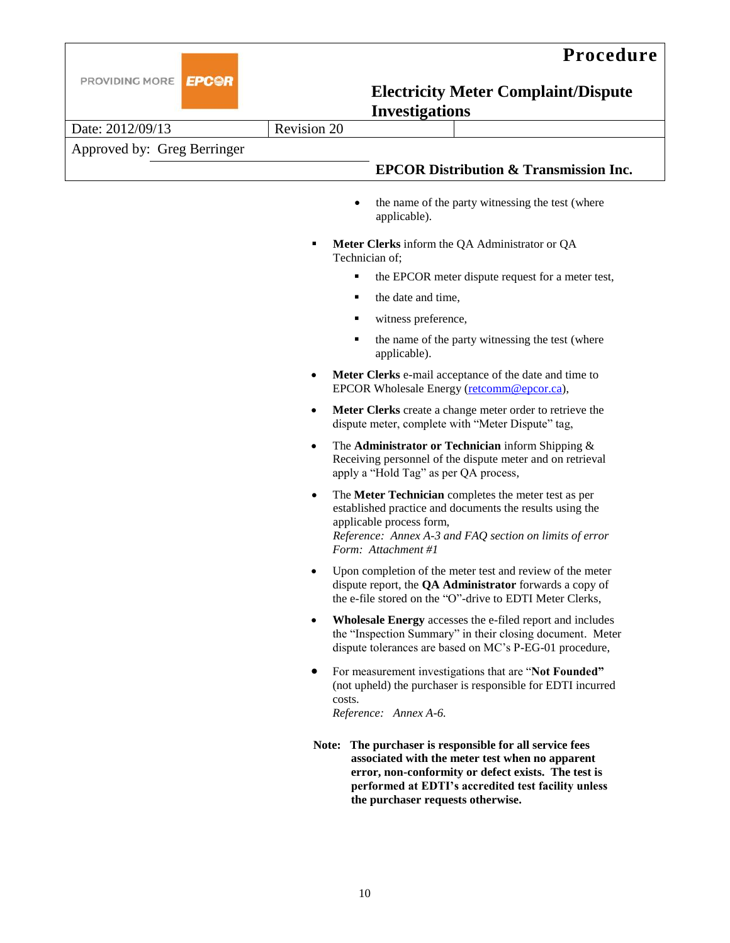



| Date: 2012/09/13            | Revision 20                                                           |                                                                                                                                                                                                                                |  |
|-----------------------------|-----------------------------------------------------------------------|--------------------------------------------------------------------------------------------------------------------------------------------------------------------------------------------------------------------------------|--|
| Approved by: Greg Berringer |                                                                       |                                                                                                                                                                                                                                |  |
|                             |                                                                       | <b>EPCOR Distribution &amp; Transmission Inc.</b>                                                                                                                                                                              |  |
|                             |                                                                       |                                                                                                                                                                                                                                |  |
|                             | $\bullet$                                                             | the name of the party witnessing the test (where<br>applicable).                                                                                                                                                               |  |
|                             | Meter Clerks inform the QA Administrator or QA<br>٠<br>Technician of; |                                                                                                                                                                                                                                |  |
|                             | ٠                                                                     | the EPCOR meter dispute request for a meter test,                                                                                                                                                                              |  |
|                             | ٠                                                                     | the date and time,                                                                                                                                                                                                             |  |
|                             | ٠                                                                     | witness preference,                                                                                                                                                                                                            |  |
|                             | ٠                                                                     | the name of the party witnessing the test (where<br>applicable).                                                                                                                                                               |  |
|                             |                                                                       | Meter Clerks e-mail acceptance of the date and time to<br>EPCOR Wholesale Energy (retcomm@epcor.ca),                                                                                                                           |  |
|                             | $\bullet$                                                             | Meter Clerks create a change meter order to retrieve the<br>dispute meter, complete with "Meter Dispute" tag,                                                                                                                  |  |
|                             | $\bullet$                                                             | The Administrator or Technician inform Shipping &<br>Receiving personnel of the dispute meter and on retrieval<br>apply a "Hold Tag" as per QA process,                                                                        |  |
|                             |                                                                       | The Meter Technician completes the meter test as per<br>established practice and documents the results using the<br>applicable process form,<br>Reference: Annex A-3 and FAQ section on limits of error<br>Form: Attachment #1 |  |
|                             |                                                                       | Upon completion of the meter test and review of the meter<br>dispute report, the QA Administrator forwards a copy of<br>the e-file stored on the "O"-drive to EDTI Meter Clerks,                                               |  |
|                             | $\bullet$                                                             | Wholesale Energy accesses the e-filed report and includes<br>the "Inspection Summary" in their closing document. Meter<br>dispute tolerances are based on MC's P-EG-01 procedure,                                              |  |
|                             | costs.                                                                | For measurement investigations that are "Not Founded"<br>(not upheld) the purchaser is responsible for EDTI incurred<br>Reference: Annex A-6.                                                                                  |  |
|                             |                                                                       | Note: The purchaser is responsible for all service fees<br>associated with the meter test when no apparent<br>error, non-conformity or defect exists. The test is<br>performed at EDTI's accredited test facility unless       |  |

**the purchaser requests otherwise.**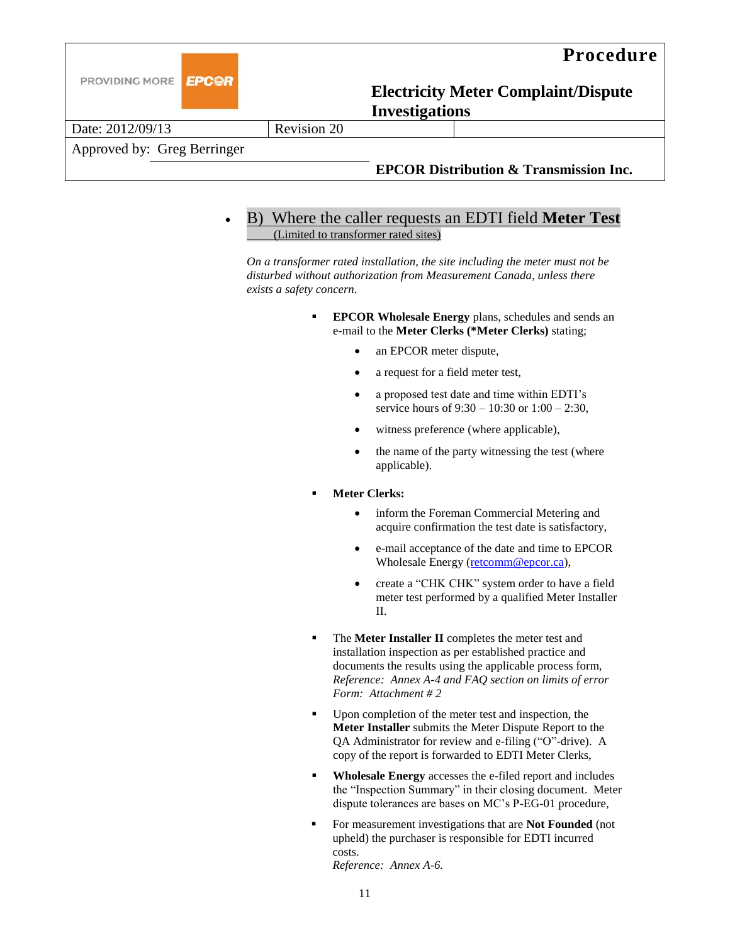

Approved by: Greg Berringer

## **EPCOR Distribution & Transmission Inc.**

## B) Where the caller requests an EDTI field **Meter Test** (Limited to transformer rated sites)

*On a transformer rated installation, the site including the meter must not be disturbed without authorization from Measurement Canada, unless there exists a safety concern.*

- **EPCOR Wholesale Energy** plans, schedules and sends an e-mail to the **Meter Clerks (\*Meter Clerks)** stating;
	- an EPCOR meter dispute,
	- a request for a field meter test,
	- a proposed test date and time within EDTI's service hours of 9:30 – 10:30 or 1:00 – 2:30,
	- witness preference (where applicable),
	- the name of the party witnessing the test (where applicable).
- **Meter Clerks:**
	- inform the Foreman Commercial Metering and acquire confirmation the test date is satisfactory,
	- e-mail acceptance of the date and time to EPCOR Wholesale Energy [\(retcomm@epcor.ca\)](mailto:retcomm@epcor.ca),
	- create a "CHK CHK" system order to have a field meter test performed by a qualified Meter Installer II.
- The **Meter Installer II** completes the meter test and installation inspection as per established practice and documents the results using the applicable process form, *Reference: Annex A-4 and FAQ section on limits of error Form: Attachment # 2*
- Upon completion of the meter test and inspection, the **Meter Installer** submits the Meter Dispute Report to the QA Administrator for review and e-filing ("O"-drive). A copy of the report is forwarded to EDTI Meter Clerks,
- **Wholesale Energy** accesses the e-filed report and includes the "Inspection Summary" in their closing document. Meter dispute tolerances are bases on MC's P-EG-01 procedure,
- For measurement investigations that are **Not Founded** (not upheld) the purchaser is responsible for EDTI incurred costs.

*Reference: Annex A-6.*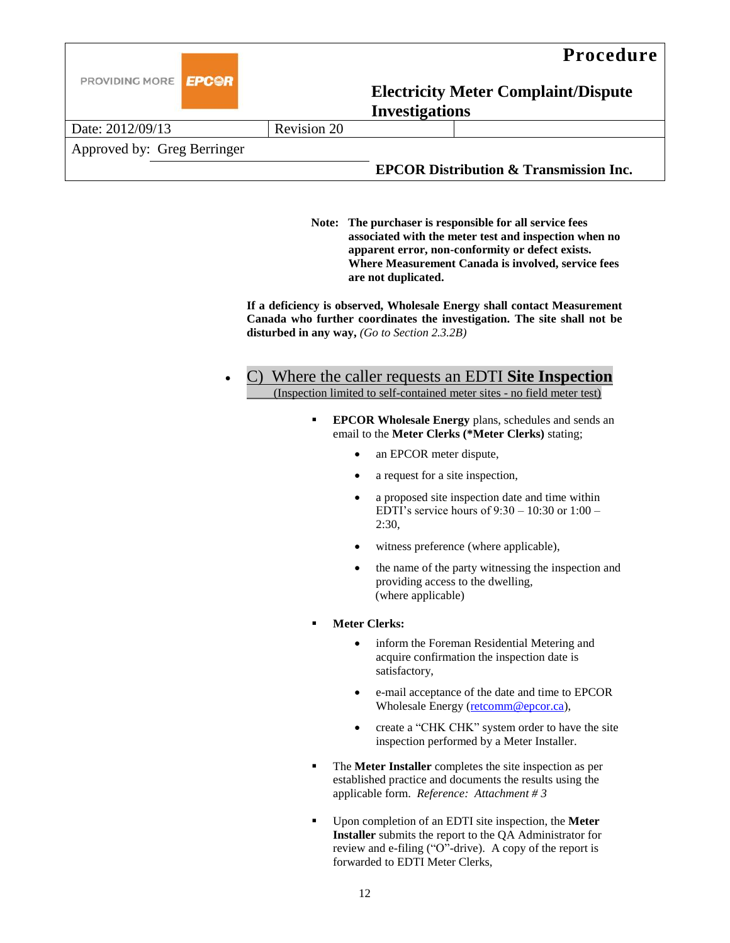

| Date: 2012/09/13            | Revision 20 |                                                   |
|-----------------------------|-------------|---------------------------------------------------|
| Approved by: Greg Berringer |             |                                                   |
|                             |             | <b>EPCOR Distribution &amp; Transmission Inc.</b> |

**Note: The purchaser is responsible for all service fees associated with the meter test and inspection when no apparent error, non-conformity or defect exists. Where Measurement Canada is involved, service fees are not duplicated.**

**If a deficiency is observed, Wholesale Energy shall contact Measurement Canada who further coordinates the investigation. The site shall not be disturbed in any way,** *(Go to Section 2.3.2B)*

## C) Where the caller requests an EDTI **Site Inspection**  (Inspection limited to self-contained meter sites - no field meter test)

- **EPCOR Wholesale Energy** plans, schedules and sends an email to the **Meter Clerks (\*Meter Clerks)** stating;
	- an EPCOR meter dispute,
	- a request for a site inspection,
	- a proposed site inspection date and time within EDTI's service hours of 9:30 – 10:30 or 1:00 – 2:30,
	- witness preference (where applicable),
	- the name of the party witnessing the inspection and providing access to the dwelling, (where applicable)
- **Meter Clerks:**
	- inform the Foreman Residential Metering and acquire confirmation the inspection date is satisfactory,
	- e-mail acceptance of the date and time to EPCOR Wholesale Energy [\(retcomm@epcor.ca\)](mailto:retcomm@epcor.ca),
	- create a "CHK CHK" system order to have the site inspection performed by a Meter Installer.
- The **Meter Installer** completes the site inspection as per established practice and documents the results using the applicable form. *Reference: Attachment # 3*
- Upon completion of an EDTI site inspection, the **Meter Installer** submits the report to the QA Administrator for review and e-filing ("O"-drive). A copy of the report is forwarded to EDTI Meter Clerks,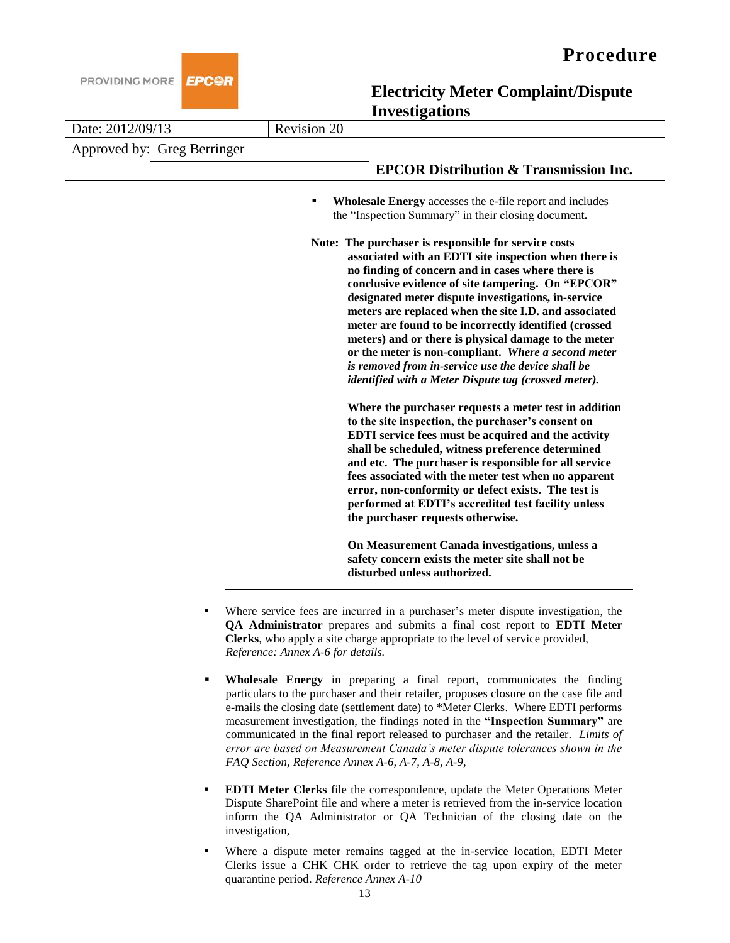



## **EPC@R**

**Electricity Meter Complaint/Dispute Investigations** 

| Date: 2012/09/13            | Revision 20 |                                   |                                                                                                                                                                                                                                                                                                                                                                                                                                                                                                                                                                                                                                                                                                                                                                                                                                                                                                                                                                                                                                                                                                                                                                                                                   |
|-----------------------------|-------------|-----------------------------------|-------------------------------------------------------------------------------------------------------------------------------------------------------------------------------------------------------------------------------------------------------------------------------------------------------------------------------------------------------------------------------------------------------------------------------------------------------------------------------------------------------------------------------------------------------------------------------------------------------------------------------------------------------------------------------------------------------------------------------------------------------------------------------------------------------------------------------------------------------------------------------------------------------------------------------------------------------------------------------------------------------------------------------------------------------------------------------------------------------------------------------------------------------------------------------------------------------------------|
| Approved by: Greg Berringer |             |                                   |                                                                                                                                                                                                                                                                                                                                                                                                                                                                                                                                                                                                                                                                                                                                                                                                                                                                                                                                                                                                                                                                                                                                                                                                                   |
|                             |             |                                   | <b>EPCOR Distribution &amp; Transmission Inc.</b>                                                                                                                                                                                                                                                                                                                                                                                                                                                                                                                                                                                                                                                                                                                                                                                                                                                                                                                                                                                                                                                                                                                                                                 |
|                             | Е           | the purchaser requests otherwise. | <b>Wholesale Energy</b> accesses the e-file report and includes<br>the "Inspection Summary" in their closing document.<br>Note: The purchaser is responsible for service costs<br>associated with an EDTI site inspection when there is<br>no finding of concern and in cases where there is<br>conclusive evidence of site tampering. On "EPCOR"<br>designated meter dispute investigations, in-service<br>meters are replaced when the site I.D. and associated<br>meter are found to be incorrectly identified (crossed<br>meters) and or there is physical damage to the meter<br>or the meter is non-compliant. Where a second meter<br>is removed from in-service use the device shall be<br>identified with a Meter Dispute tag (crossed meter).<br>Where the purchaser requests a meter test in addition<br>to the site inspection, the purchaser's consent on<br>EDTI service fees must be acquired and the activity<br>shall be scheduled, witness preference determined<br>and etc. The purchaser is responsible for all service<br>fees associated with the meter test when no apparent<br>error, non-conformity or defect exists. The test is<br>performed at EDTI's accredited test facility unless |
|                             |             | disturbed unless authorized.      | On Measurement Canada investigations, unless a<br>safety concern exists the meter site shall not be                                                                                                                                                                                                                                                                                                                                                                                                                                                                                                                                                                                                                                                                                                                                                                                                                                                                                                                                                                                                                                                                                                               |

- Where service fees are incurred in a purchaser's meter dispute investigation, the **QA Administrator** prepares and submits a final cost report to **EDTI Meter Clerks**, who apply a site charge appropriate to the level of service provided, *Reference: Annex A-6 for details.*
- **Wholesale Energy** in preparing a final report, communicates the finding particulars to the purchaser and their retailer, proposes closure on the case file and e-mails the closing date (settlement date) to \*Meter Clerks. Where EDTI performs measurement investigation, the findings noted in the **"Inspection Summary"** are communicated in the final report released to purchaser and the retailer. *Limits of error are based on Measurement Canada's meter dispute tolerances shown in the FAQ Section, Reference Annex A-6, A-7, A-8, A-9,*
- **EDTI Meter Clerks** file the correspondence, update the Meter Operations Meter Dispute SharePoint file and where a meter is retrieved from the in-service location inform the QA Administrator or QA Technician of the closing date on the investigation,
- Where a dispute meter remains tagged at the in-service location, EDTI Meter Clerks issue a CHK CHK order to retrieve the tag upon expiry of the meter quarantine period. *Reference Annex A-10*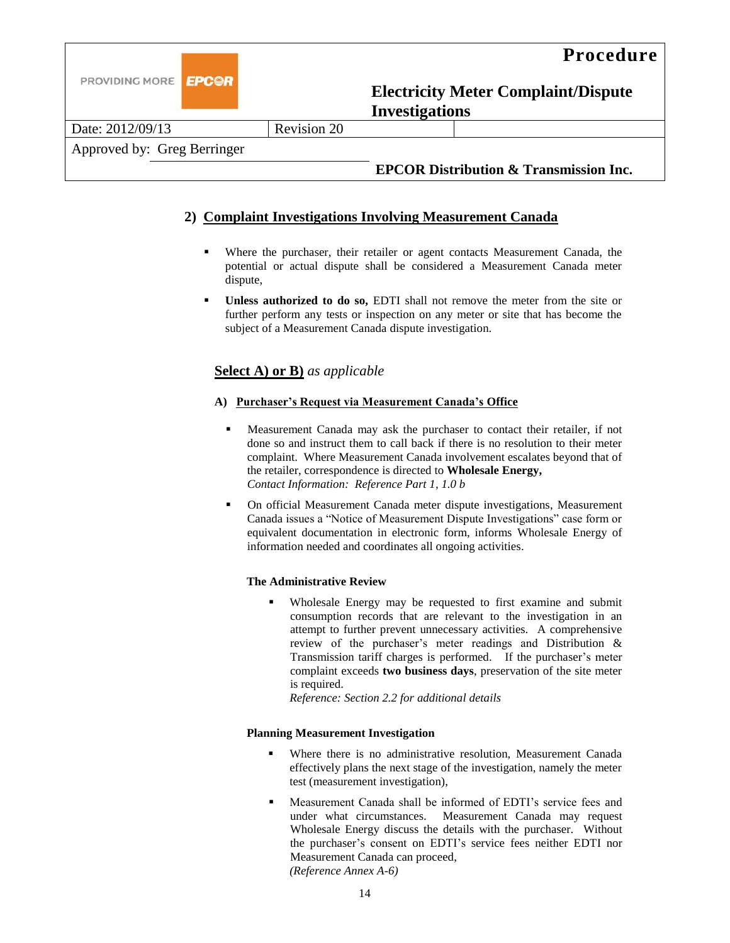

## **2) Complaint Investigations Involving Measurement Canada**

- Where the purchaser, their retailer or agent contacts Measurement Canada, the potential or actual dispute shall be considered a Measurement Canada meter dispute,
- **Unless authorized to do so,** EDTI shall not remove the meter from the site or further perform any tests or inspection on any meter or site that has become the subject of a Measurement Canada dispute investigation.

## **Select A) or B)** *as applicable*

#### **A) Purchaser's Request via Measurement Canada's Office**

- Measurement Canada may ask the purchaser to contact their retailer, if not done so and instruct them to call back if there is no resolution to their meter complaint. Where Measurement Canada involvement escalates beyond that of the retailer, correspondence is directed to **Wholesale Energy,**  *Contact Information: Reference Part 1, 1.0 b*
- On official Measurement Canada meter dispute investigations, Measurement Canada issues a "Notice of Measurement Dispute Investigations" case form or equivalent documentation in electronic form, informs Wholesale Energy of information needed and coordinates all ongoing activities.

#### **The Administrative Review**

 Wholesale Energy may be requested to first examine and submit consumption records that are relevant to the investigation in an attempt to further prevent unnecessary activities. A comprehensive review of the purchaser's meter readings and Distribution & Transmission tariff charges is performed. If the purchaser's meter complaint exceeds **two business days**, preservation of the site meter is required.

*Reference: Section 2.2 for additional details*

#### **Planning Measurement Investigation**

- Where there is no administrative resolution, Measurement Canada effectively plans the next stage of the investigation, namely the meter test (measurement investigation),
- Measurement Canada shall be informed of EDTI's service fees and under what circumstances. Measurement Canada may request Wholesale Energy discuss the details with the purchaser. Without the purchaser's consent on EDTI's service fees neither EDTI nor Measurement Canada can proceed, *(Reference Annex A-6)*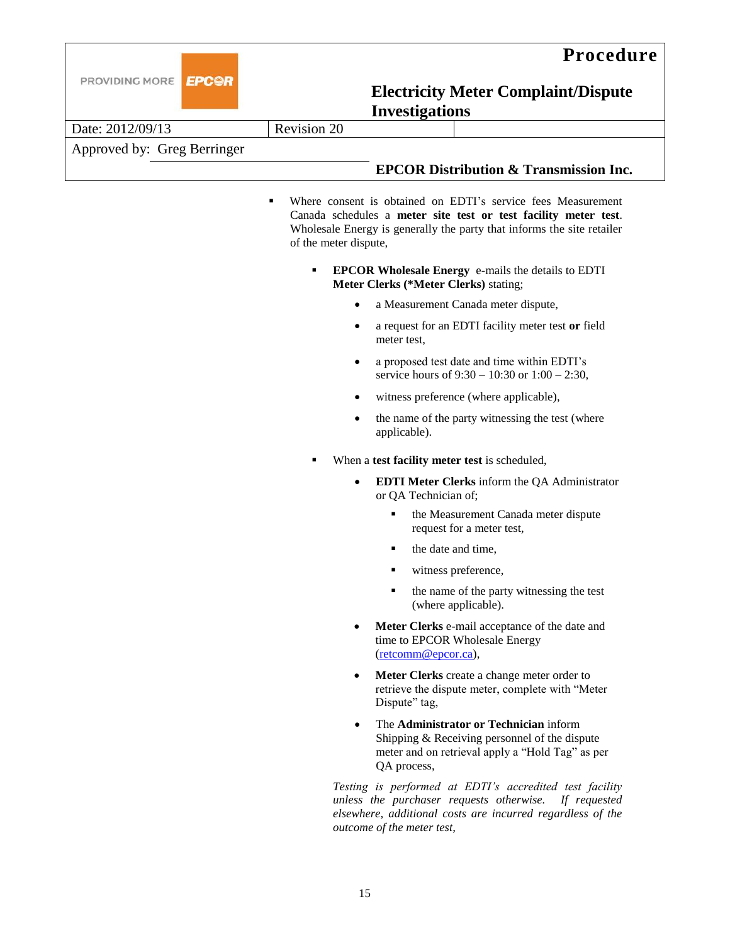

|                             | mvcsugauons |  |                                                              |
|-----------------------------|-------------|--|--------------------------------------------------------------|
| Date: 2012/09/13            | Revision 20 |  |                                                              |
| Approved by: Greg Berringer |             |  |                                                              |
|                             |             |  | <b>EPCOR Distribution &amp; Transmission Inc.</b>            |
|                             |             |  | Where consent is obtained on FDTI's service fees Measurement |

- consent is obtained on EDTI's service fees Me Canada schedules a **meter site test or test facility meter test**. Wholesale Energy is generally the party that informs the site retailer of the meter dispute,
	- **EPCOR Wholesale Energy** e-mails the details to EDTI **Meter Clerks (\*Meter Clerks)** stating;
		- a Measurement Canada meter dispute,
		- a request for an EDTI facility meter test **or** field meter test,
		- a proposed test date and time within EDTI's service hours of 9:30 – 10:30 or 1:00 – 2:30,
		- witness preference (where applicable),
		- the name of the party witnessing the test (where applicable).
	- When a **test facility meter test** is scheduled,
		- **EDTI Meter Clerks** inform the QA Administrator or QA Technician of;
			- the Measurement Canada meter dispute request for a meter test,
			- the date and time,
			- $\blacksquare$  witness preference,
			- $\blacksquare$  the name of the party witnessing the test (where applicable).
		- **Meter Clerks** e-mail acceptance of the date and time to EPCOR Wholesale Energy [\(retcomm@epcor.ca\)](mailto:retcomm@epcor.ca),
		- **Meter Clerks** create a change meter order to retrieve the dispute meter, complete with "Meter Dispute" tag,
		- The **Administrator or Technician** inform Shipping & Receiving personnel of the dispute meter and on retrieval apply a "Hold Tag" as per QA process,

*Testing is performed at EDTI's accredited test facility unless the purchaser requests otherwise. If requested elsewhere, additional costs are incurred regardless of the outcome of the meter test,*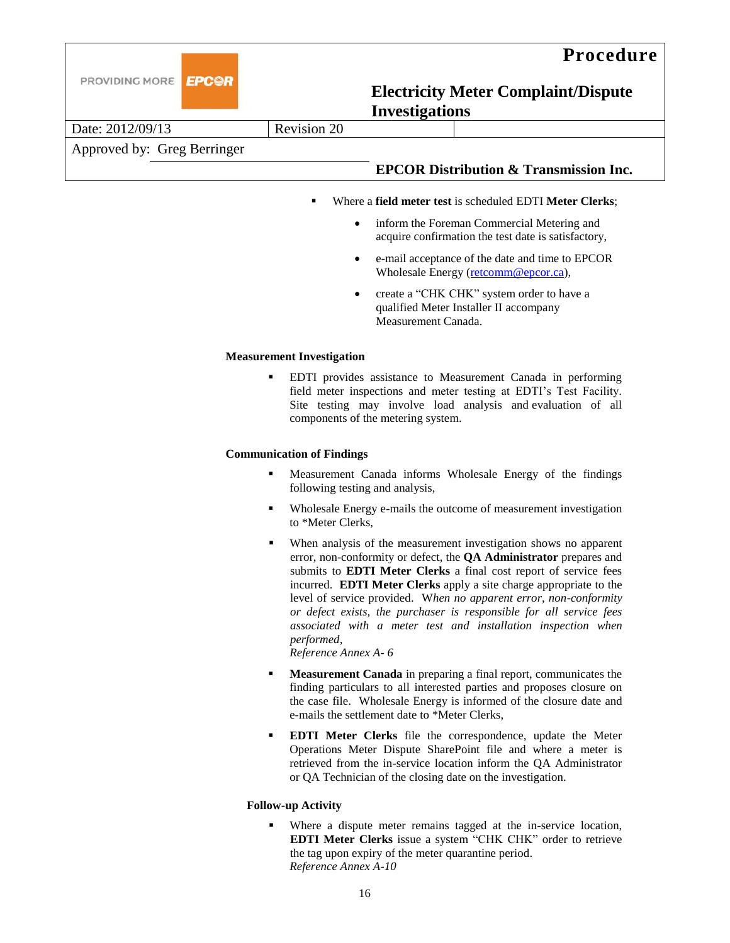

|                             | Investigations |  |                                                   |
|-----------------------------|----------------|--|---------------------------------------------------|
| Date: 2012/09/13            | Revision 20    |  |                                                   |
| Approved by: Greg Berringer |                |  |                                                   |
|                             |                |  | <b>EPCOR Distribution &amp; Transmission Inc.</b> |

- Where a **field meter test** is scheduled EDTI **Meter Clerks**;
	- inform the Foreman Commercial Metering and acquire confirmation the test date is satisfactory,
	- e-mail acceptance of the date and time to EPCOR Wholesale Energy [\(retcomm@epcor.ca\)](mailto:retcomm@epcor.ca),
	- create a "CHK CHK" system order to have a qualified Meter Installer II accompany Measurement Canada.

#### **Measurement Investigation**

 EDTI provides assistance to Measurement Canada in performing field meter inspections and meter testing at EDTI's Test Facility. Site testing may involve load analysis and evaluation of all components of the metering system.

#### **Communication of Findings**

- Measurement Canada informs Wholesale Energy of the findings following testing and analysis,
- Wholesale Energy e-mails the outcome of measurement investigation to \*Meter Clerks,
- When analysis of the measurement investigation shows no apparent error, non-conformity or defect, the **QA Administrator** prepares and submits to **EDTI Meter Clerks** a final cost report of service fees incurred. **EDTI Meter Clerks** apply a site charge appropriate to the level of service provided. W*hen no apparent error, non-conformity or defect exists, the purchaser is responsible for all service fees associated with a meter test and installation inspection when performed,*

*Reference Annex A- 6*

- **Measurement Canada** in preparing a final report, communicates the finding particulars to all interested parties and proposes closure on the case file. Wholesale Energy is informed of the closure date and e-mails the settlement date to \*Meter Clerks,
- **EDTI Meter Clerks** file the correspondence, update the Meter Operations Meter Dispute SharePoint file and where a meter is retrieved from the in-service location inform the QA Administrator or QA Technician of the closing date on the investigation.

#### **Follow-up Activity**

 Where a dispute meter remains tagged at the in-service location, **EDTI Meter Clerks** issue a system "CHK CHK" order to retrieve the tag upon expiry of the meter quarantine period. *Reference Annex A-10*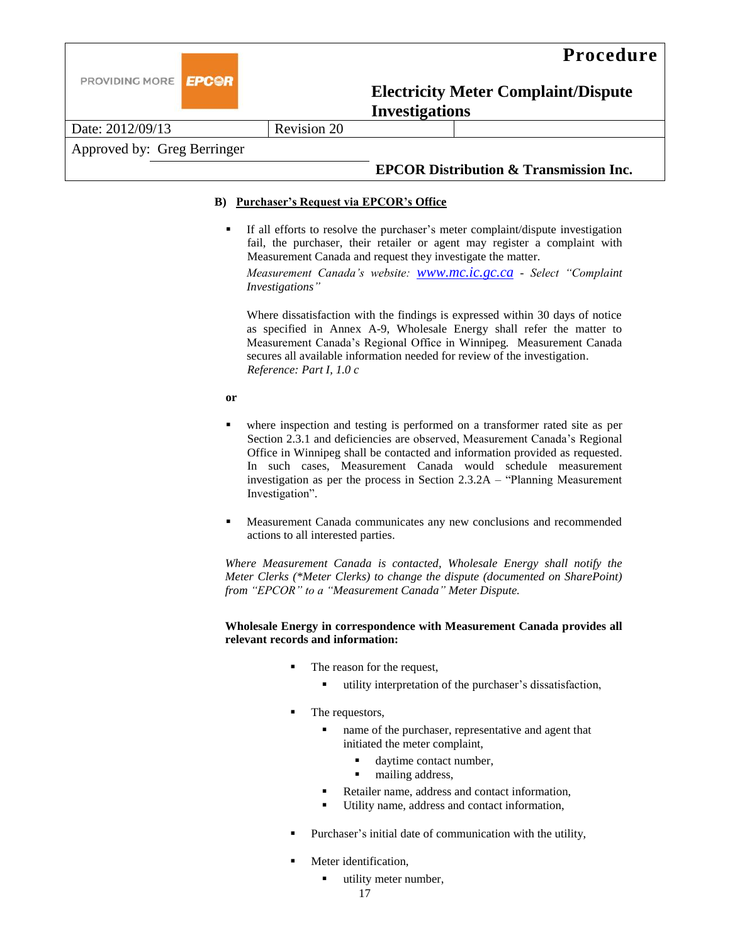

Date: 2012/09/13 Revision 20

## Approved by: Greg Berringer

## **EPCOR Distribution & Transmission Inc.**

#### **B) Purchaser's Request via EPCOR's Office**

If all efforts to resolve the purchaser's meter complaint/dispute investigation fail, the purchaser, their retailer or agent may register a complaint with Measurement Canada and request they investigate the matter.

*Measurement Canada's website: [www.mc.ic.gc.ca](http://www.mc.ic.gc.ca/) - Select "Complaint Investigations"*

Where dissatisfaction with the findings is expressed within 30 days of notice as specified in Annex A-9, Wholesale Energy shall refer the matter to Measurement Canada's Regional Office in Winnipeg*.* Measurement Canada secures all available information needed for review of the investigation. *Reference: Part I, 1.0 c*

**or**

- where inspection and testing is performed on a transformer rated site as per Section 2.3.1 and deficiencies are observed, Measurement Canada's Regional Office in Winnipeg shall be contacted and information provided as requested. In such cases, Measurement Canada would schedule measurement investigation as per the process in Section 2.3.2A – "Planning Measurement Investigation".
- Measurement Canada communicates any new conclusions and recommended actions to all interested parties.

*Where Measurement Canada is contacted, Wholesale Energy shall notify the Meter Clerks (\*Meter Clerks) to change the dispute (documented on SharePoint) from "EPCOR" to a "Measurement Canada" Meter Dispute.* 

#### **Wholesale Energy in correspondence with Measurement Canada provides all relevant records and information:**

- The reason for the request,
	- utility interpretation of the purchaser's dissatisfaction,
- The requestors,
	- name of the purchaser, representative and agent that initiated the meter complaint,
		- daytime contact number,
		- $\blacksquare$  mailing address,
	- Retailer name, address and contact information,
	- Utility name, address and contact information,
- Purchaser's initial date of communication with the utility,
- Meter identification,
	- utility meter number,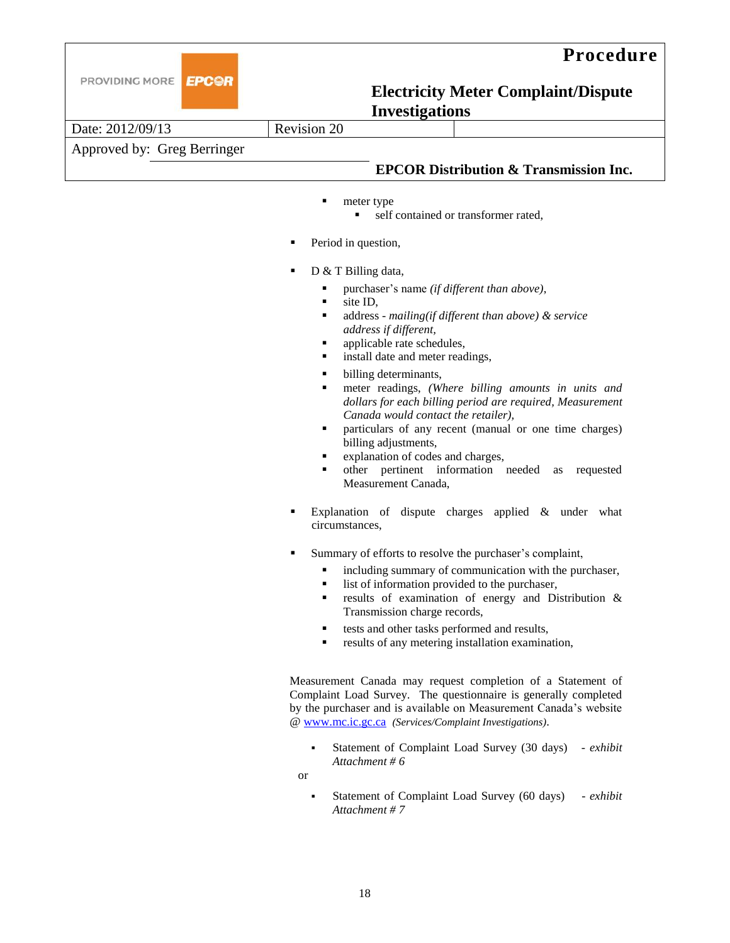



Date: 2012/09/13 Revision 20 Approved by: Greg Berringer

### **EPCOR Distribution & Transmission Inc.**

- meter type
	- self contained or transformer rated,
- Period in question,
- D & T Billing data,
	- purchaser's name *(if different than above)*,
	- site ID,
	- address *mailing(if different than above) & service address if different,*
	- applicable rate schedules,
	- install date and meter readings,
	- $\blacksquare$  billing determinants,
	- meter readings, *(Where billing amounts in units and dollars for each billing period are required, Measurement Canada would contact the retailer),*
	- particulars of any recent (manual or one time charges) billing adjustments,
	- explanation of codes and charges,
	- other pertinent information needed as requested Measurement Canada,
- Explanation of dispute charges applied & under what circumstances,
- Summary of efforts to resolve the purchaser's complaint,
	- including summary of communication with the purchaser,
	- list of information provided to the purchaser,
	- results of examination of energy and Distribution & Transmission charge records,
	- tests and other tasks performed and results,
	- **results of any metering installation examination,**

Measurement Canada may request completion of a Statement of Complaint Load Survey. The questionnaire is generally completed by the purchaser and is available on Measurement Canada's website [@ www.mc.ic.gc.ca](http://www.mc.ic.gc.ca/) *(Services/Complaint Investigations)*.

 Statement of Complaint Load Survey (30 days) - *exhibit Attachment # 6*

or

 Statement of Complaint Load Survey (60 days) - *exhibit Attachment # 7*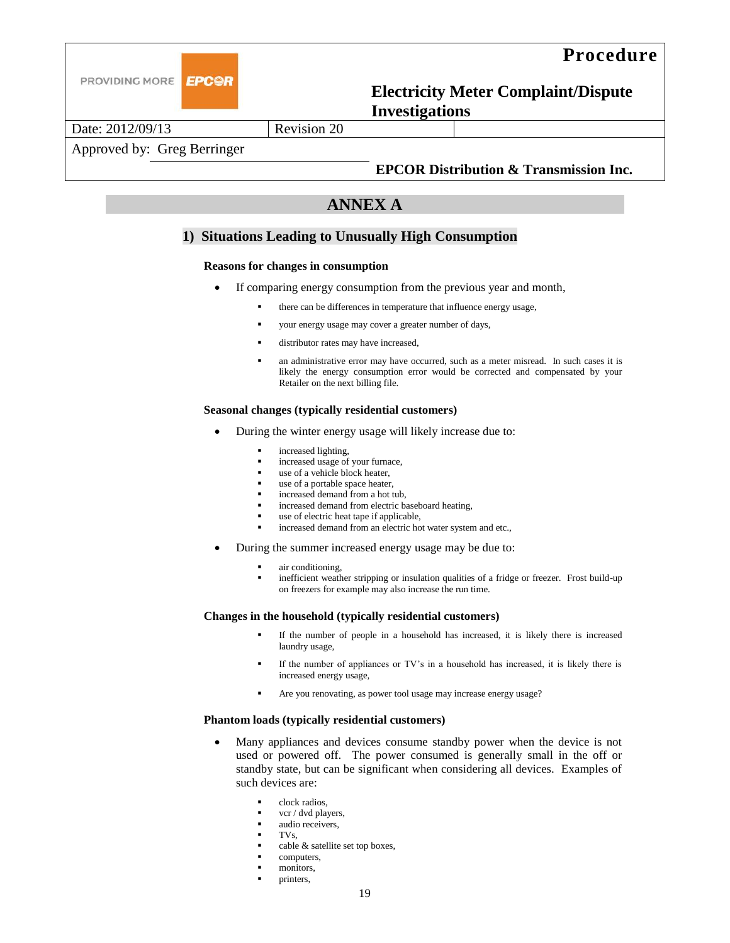

## **Procedure**

**Electricity Meter Complaint/Dispute Investigations** 

Date: 2012/09/13 Revision 20

## Approved by: Greg Berringer

### **EPCOR Distribution & Transmission Inc.**

## **ANNEX A**

#### **1) Situations Leading to Unusually High Consumption**

#### **Reasons for changes in consumption**

- If comparing energy consumption from the previous year and month,
	- there can be differences in temperature that influence energy usage,
	- your energy usage may cover a greater number of days,
	- distributor rates may have increased,
	- an administrative error may have occurred, such as a meter misread. In such cases it is likely the energy consumption error would be corrected and compensated by your Retailer on the next billing file.

#### **Seasonal changes (typically residential customers)**

- During the winter energy usage will likely increase due to:
	- increased lighting,
	- increased usage of your furnace,
	- use of a vehicle block heater,
	- use of a portable space heater,
	- increased demand from a hot tub,
	- increased demand from electric baseboard heating,
	- use of electric heat tape if applicable,
	- increased demand from an electric hot water system and etc.,
- During the summer increased energy usage may be due to:
	- air conditioning,
	- inefficient weather stripping or insulation qualities of a fridge or freezer. Frost build-up on freezers for example may also increase the run time.

#### **Changes in the household (typically residential customers)**

- If the number of people in a household has increased, it is likely there is increased laundry usage,
- If the number of appliances or TV's in a household has increased, it is likely there is increased energy usage,
- Are you renovating, as power tool usage may increase energy usage?

#### **Phantom loads (typically residential customers)**

- Many appliances and devices consume standby power when the device is not used or powered off. The power consumed is generally small in the off or standby state, but can be significant when considering all devices. Examples of such devices are:
	- clock radios,
	- vcr / dvd players,
	- audio receivers,
	- TVs,
	- cable & satellite set top boxes,
	- computers,
	- monitors,
	- printers,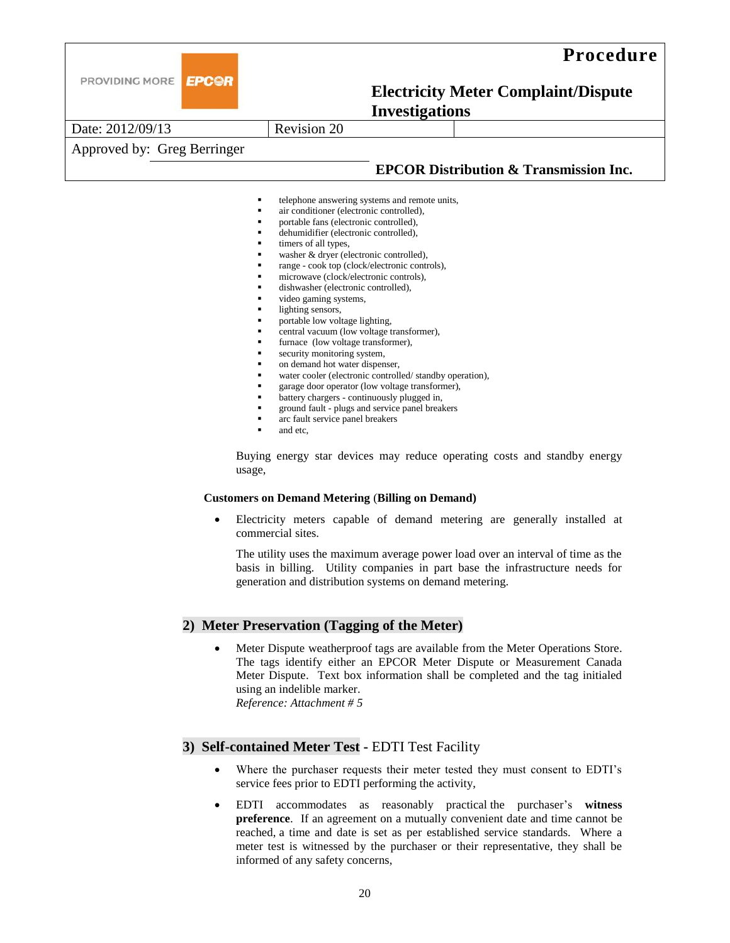

## **Procedure**

## **Electricity Meter Complaint/Dispute Investigations**

Date: 2012/09/13 **Revision 20** Approved by: Greg Berringer **EPCOR Distribution & Transmission Inc.** telephone answering systems and remote units, air conditioner (electronic controlled), portable fans (electronic controlled), dehumidifier (electronic controlled), timers of all types, washer & dryer (electronic controlled), range - cook top (clock/electronic controls), microwave (clock/electronic controls), dishwasher (electronic controlled), video gaming systems,

- lighting sensors,
- portable low voltage lighting,
- central vacuum (low voltage transformer),
- furnace (low voltage transformer),
- security monitoring system,
- on demand hot water dispenser,
- water cooler (electronic controlled/ standby operation),
- garage door operator (low voltage transformer),
- battery chargers continuously plugged in,
- ground fault plugs and service panel breakers
- arc fault service panel breakers
- **and etc.**

Buying energy star devices may reduce operating costs and standby energy usage,

#### **Customers on Demand Metering** (**Billing on Demand)**

 Electricity meters capable of demand metering are generally installed at commercial sites.

The utility uses the maximum average power load over an interval of time as the basis in billing. Utility companies in part base the infrastructure needs for generation and distribution systems on demand metering.

#### **2) Meter Preservation (Tagging of the Meter)**

 Meter Dispute weatherproof tags are available from the Meter Operations Store. The tags identify either an EPCOR Meter Dispute or Measurement Canada Meter Dispute. Text box information shall be completed and the tag initialed using an indelible marker. *Reference: Attachment # 5*

#### **3) Self-contained Meter Test -** EDTI Test Facility

- Where the purchaser requests their meter tested they must consent to EDTI's service fees prior to EDTI performing the activity,
- EDTI accommodates as reasonably practical the purchaser's **witness preference**. If an agreement on a mutually convenient date and time cannot be reached, a time and date is set as per established service standards. Where a meter test is witnessed by the purchaser or their representative, they shall be informed of any safety concerns,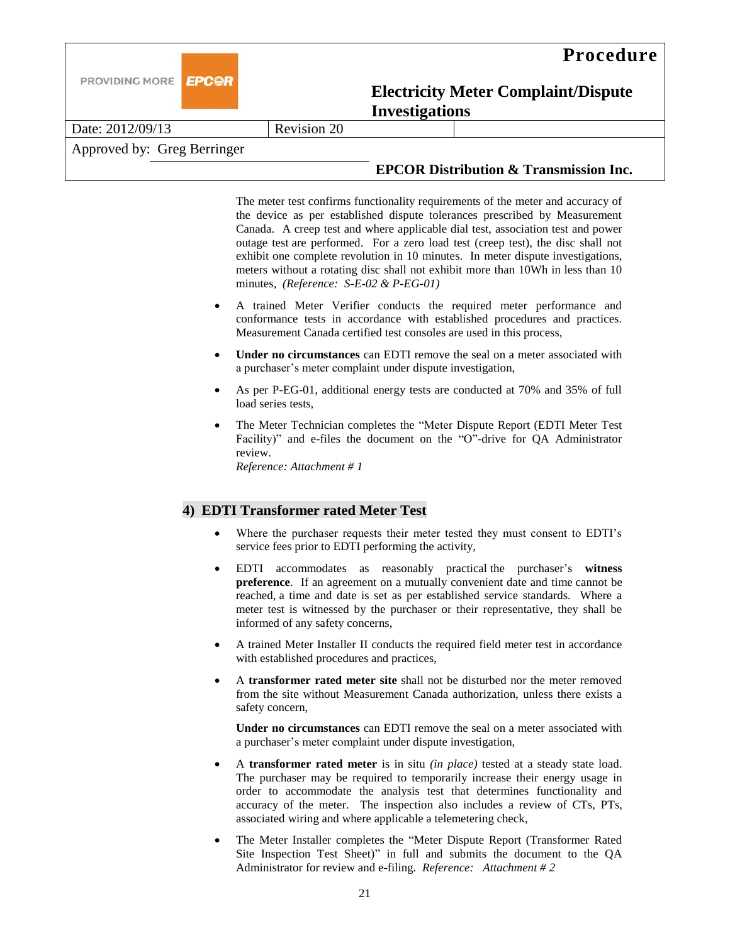



Date: 2012/09/13 Revision 20

Approved by: Greg Berringer

## **EPCOR Distribution & Transmission Inc.**

The meter test confirms functionality requirements of the meter and accuracy of the device as per established dispute tolerances prescribed by Measurement Canada. A creep test and where applicable dial test, association test and power outage test are performed. For a zero load test (creep test), the disc shall not exhibit one complete revolution in 10 minutes. In meter dispute investigations, meters without a rotating disc shall not exhibit more than 10Wh in less than 10 minutes*, (Reference: S-E-02 & P-EG-01)*

- A trained Meter Verifier conducts the required meter performance and conformance tests in accordance with established procedures and practices. Measurement Canada certified test consoles are used in this process,
- **Under no circumstances** can EDTI remove the seal on a meter associated with a purchaser's meter complaint under dispute investigation,
- As per P-EG-01, additional energy tests are conducted at 70% and 35% of full load series tests,
- The Meter Technician completes the "Meter Dispute Report (EDTI Meter Test Facility)" and e-files the document on the "O"-drive for QA Administrator review.

*Reference: Attachment # 1*

## **4) EDTI Transformer rated Meter Test**

- Where the purchaser requests their meter tested they must consent to EDTI's service fees prior to EDTI performing the activity,
- EDTI accommodates as reasonably practical the purchaser's **witness preference**. If an agreement on a mutually convenient date and time cannot be reached, a time and date is set as per established service standards. Where a meter test is witnessed by the purchaser or their representative, they shall be informed of any safety concerns,
- A trained Meter Installer II conducts the required field meter test in accordance with established procedures and practices,
- A **transformer rated meter site** shall not be disturbed nor the meter removed from the site without Measurement Canada authorization, unless there exists a safety concern,

**Under no circumstances** can EDTI remove the seal on a meter associated with a purchaser's meter complaint under dispute investigation,

- A **transformer rated meter** is in situ *(in place)* tested at a steady state load. The purchaser may be required to temporarily increase their energy usage in order to accommodate the analysis test that determines functionality and accuracy of the meter. The inspection also includes a review of CTs, PTs, associated wiring and where applicable a telemetering check,
- The Meter Installer completes the "Meter Dispute Report (Transformer Rated Site Inspection Test Sheet)" in full and submits the document to the QA Administrator for review and e-filing. *Reference: Attachment # 2*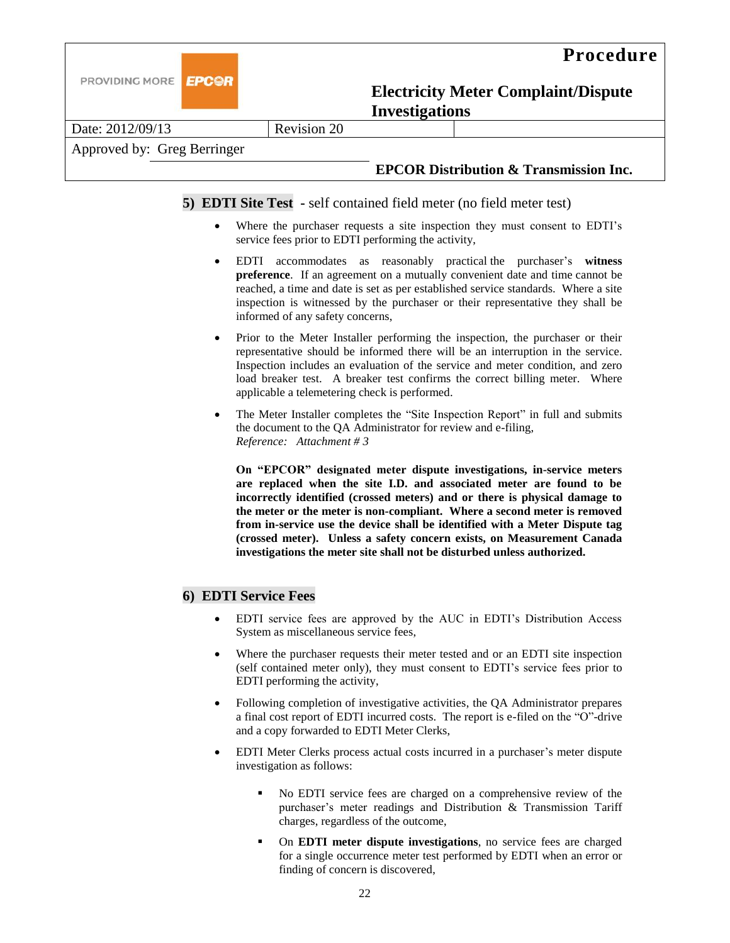



Date: 2012/09/13 Revision 20

## Approved by: Greg Berringer

## **EPCOR Distribution & Transmission Inc.**

**5) EDTI Site Test -** self contained field meter (no field meter test)

- Where the purchaser requests a site inspection they must consent to EDTI's service fees prior to EDTI performing the activity,
- EDTI accommodates as reasonably practical the purchaser's **witness preference**. If an agreement on a mutually convenient date and time cannot be reached, a time and date is set as per established service standards. Where a site inspection is witnessed by the purchaser or their representative they shall be informed of any safety concerns,
- Prior to the Meter Installer performing the inspection, the purchaser or their representative should be informed there will be an interruption in the service. Inspection includes an evaluation of the service and meter condition, and zero load breaker test. A breaker test confirms the correct billing meter. Where applicable a telemetering check is performed.
- The Meter Installer completes the "Site Inspection Report" in full and submits the document to the QA Administrator for review and e-filing, *Reference: Attachment # 3*

**On "EPCOR" designated meter dispute investigations, in-service meters are replaced when the site I.D. and associated meter are found to be incorrectly identified (crossed meters) and or there is physical damage to the meter or the meter is non-compliant. Where a second meter is removed from in-service use the device shall be identified with a Meter Dispute tag (crossed meter). Unless a safety concern exists, on Measurement Canada investigations the meter site shall not be disturbed unless authorized.** 

## **6) EDTI Service Fees**

- EDTI service fees are approved by the AUC in EDTI's Distribution Access System as miscellaneous service fees,
- Where the purchaser requests their meter tested and or an EDTI site inspection (self contained meter only), they must consent to EDTI's service fees prior to EDTI performing the activity,
- Following completion of investigative activities, the QA Administrator prepares a final cost report of EDTI incurred costs. The report is e-filed on the "O"-drive and a copy forwarded to EDTI Meter Clerks,
- EDTI Meter Clerks process actual costs incurred in a purchaser's meter dispute investigation as follows:
	- No EDTI service fees are charged on a comprehensive review of the purchaser's meter readings and Distribution & Transmission Tariff charges, regardless of the outcome,
	- On **EDTI meter dispute investigations**, no service fees are charged for a single occurrence meter test performed by EDTI when an error or finding of concern is discovered,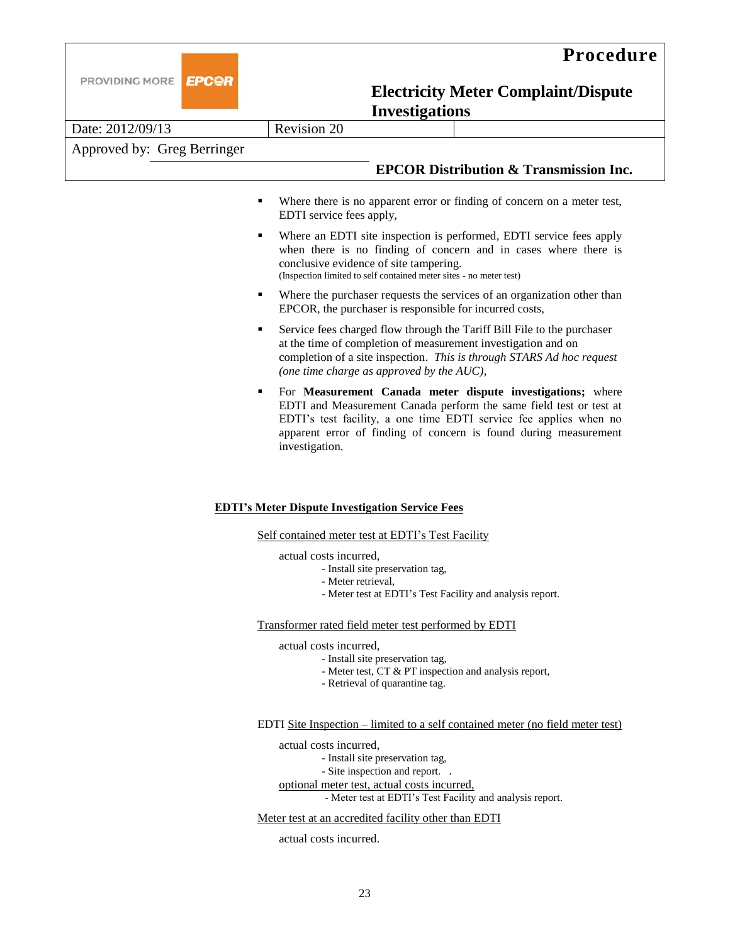

## **Procedure**

## **Electricity Meter Complaint/Dispute Investigations**

|                             | Invesugations      |  |                                                   |
|-----------------------------|--------------------|--|---------------------------------------------------|
| Date: 2012/09/13            | <b>Revision 20</b> |  |                                                   |
| Approved by: Greg Berringer |                    |  |                                                   |
|                             |                    |  | <b>EPCOR Distribution &amp; Transmission Inc.</b> |
|                             |                    |  |                                                   |

- Where there is no apparent error or finding of concern on a meter test, EDTI service fees apply,
- Where an EDTI site inspection is performed, EDTI service fees apply when there is no finding of concern and in cases where there is conclusive evidence of site tampering. (Inspection limited to self contained meter sites - no meter test)
- Where the purchaser requests the services of an organization other than EPCOR, the purchaser is responsible for incurred costs,
- Service fees charged flow through the Tariff Bill File to the purchaser at the time of completion of measurement investigation and on completion of a site inspection. *This is through STARS Ad hoc request (one time charge as approved by the AUC),*
- For **Measurement Canada meter dispute investigations;** where EDTI and Measurement Canada perform the same field test or test at EDTI's test facility, a one time EDTI service fee applies when no apparent error of finding of concern is found during measurement investigation.

#### **EDTI's Meter Dispute Investigation Service Fees**

Self contained meter test at EDTI's Test Facility

#### actual costs incurred,

- Install site preservation tag,
- Meter retrieval,
	- Meter test at EDTI's Test Facility and analysis report.

Transformer rated field meter test performed by EDTI

actual costs incurred,

- Install site preservation tag,
- Meter test, CT & PT inspection and analysis report,
- Retrieval of quarantine tag.

#### EDTI Site Inspection – limited to a self contained meter (no field meter test)

actual costs incurred,

- Install site preservation tag,

- Site inspection and report. .

optional meter test, actual costs incurred, - Meter test at EDTI's Test Facility and analysis report.

#### Meter test at an accredited facility other than EDTI

actual costs incurred.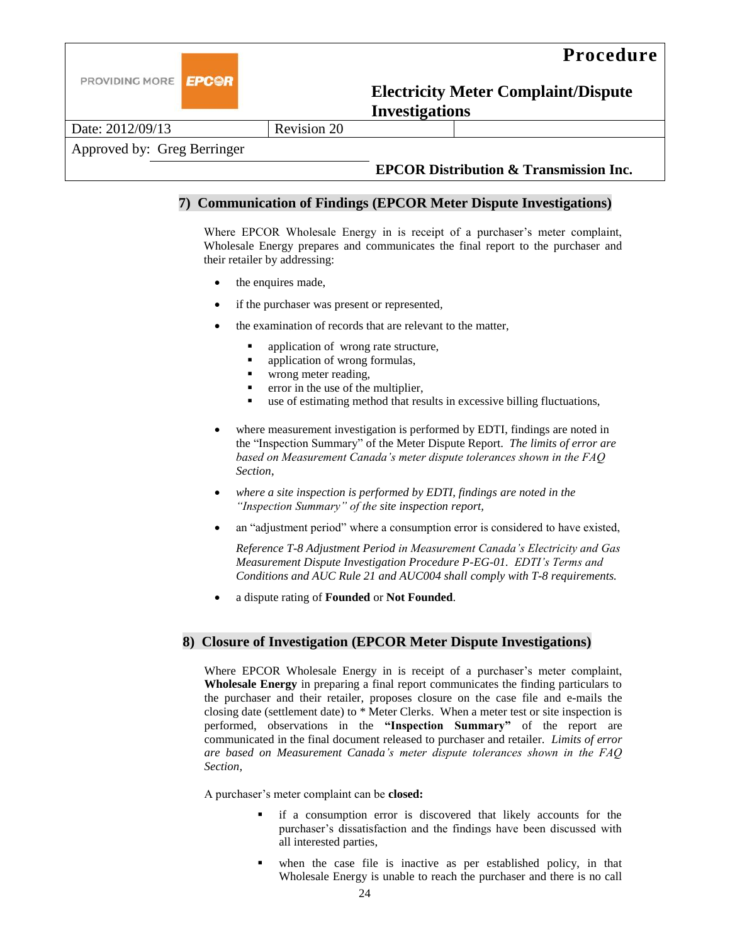



Date: 2012/09/13 Revision 20

## Approved by: Greg Berringer

## **EPCOR Distribution & Transmission Inc.**

## **7) Communication of Findings (EPCOR Meter Dispute Investigations)**

Where EPCOR Wholesale Energy in is receipt of a purchaser's meter complaint, Wholesale Energy prepares and communicates the final report to the purchaser and their retailer by addressing:

- the enquires made,
- if the purchaser was present or represented*,*
- the examination of records that are relevant to the matter,
	- **•** application of wrong rate structure,
	- application of wrong formulas,
	- **u** wrong meter reading,
	- **•** error in the use of the multiplier,
	- use of estimating method that results in excessive billing fluctuations,
- where measurement investigation is performed by EDTI, findings are noted in the "Inspection Summary" of the Meter Dispute Report. *The limits of error are based on Measurement Canada's meter dispute tolerances shown in the FAQ Section*,
- *where a site inspection is performed by EDTI, findings are noted in the "Inspection Summary" of the site inspection report,*
- an "adjustment period" where a consumption error is considered to have existed,

*Reference T-8 Adjustment Period in Measurement Canada's Electricity and Gas Measurement Dispute Investigation Procedure P-EG-01. EDTI's Terms and Conditions and AUC Rule 21 and AUC004 shall comply with T-8 requirements.*

a dispute rating of **Founded** or **Not Founded**.

## **8) Closure of Investigation (EPCOR Meter Dispute Investigations)**

Where EPCOR Wholesale Energy in is receipt of a purchaser's meter complaint, **Wholesale Energy** in preparing a final report communicates the finding particulars to the purchaser and their retailer, proposes closure on the case file and e-mails the closing date (settlement date) to \* Meter Clerks. When a meter test or site inspection is performed, observations in the **"Inspection Summary"** of the report are communicated in the final document released to purchaser and retailer. *Limits of error are based on Measurement Canada's meter dispute tolerances shown in the FAQ Section,*

A purchaser's meter complaint can be **closed:**

- if a consumption error is discovered that likely accounts for the purchaser's dissatisfaction and the findings have been discussed with all interested parties,
- when the case file is inactive as per established policy, in that Wholesale Energy is unable to reach the purchaser and there is no call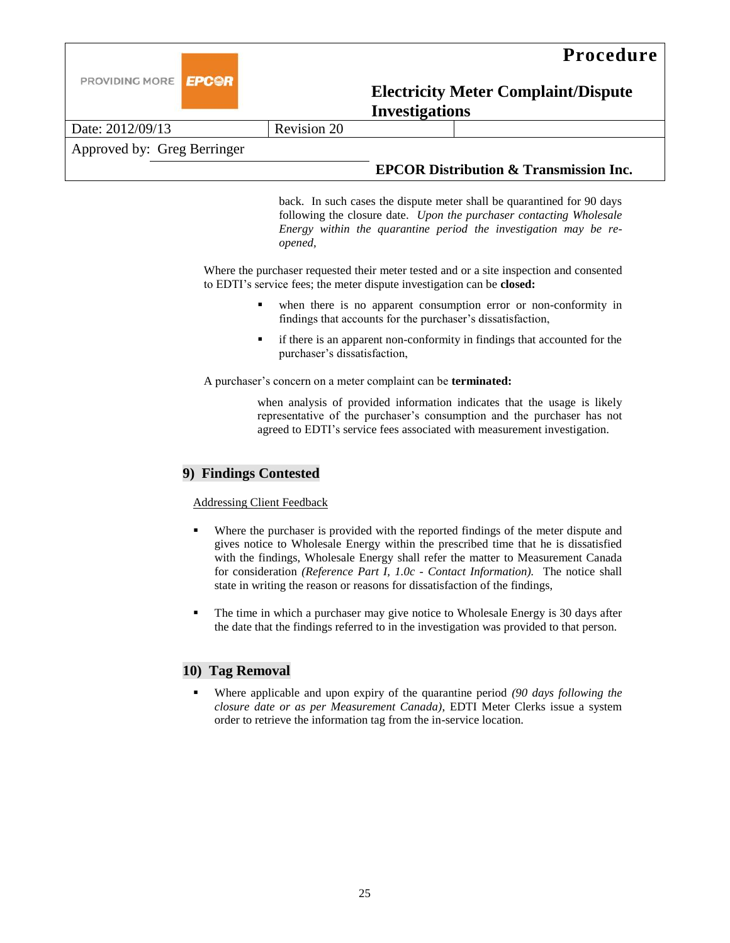

|                             |                    | ------------------ |                                                   |
|-----------------------------|--------------------|--------------------|---------------------------------------------------|
| Date: 2012/09/13            | <b>Revision 20</b> |                    |                                                   |
| Approved by: Greg Berringer |                    |                    |                                                   |
|                             |                    |                    | <b>EPCOR Distribution &amp; Transmission Inc.</b> |

back. In such cases the dispute meter shall be quarantined for 90 days following the closure date. *Upon the purchaser contacting Wholesale Energy within the quarantine period the investigation may be reopened,*

Where the purchaser requested their meter tested and or a site inspection and consented to EDTI's service fees; the meter dispute investigation can be **closed:**

- when there is no apparent consumption error or non-conformity in findings that accounts for the purchaser's dissatisfaction,
- if there is an apparent non-conformity in findings that accounted for the purchaser's dissatisfaction,

A purchaser's concern on a meter complaint can be **terminated:**

when analysis of provided information indicates that the usage is likely representative of the purchaser's consumption and the purchaser has not agreed to EDTI's service fees associated with measurement investigation.

#### **9) Findings Contested**

Addressing Client Feedback

- Where the purchaser is provided with the reported findings of the meter dispute and gives notice to Wholesale Energy within the prescribed time that he is dissatisfied with the findings, Wholesale Energy shall refer the matter to Measurement Canada for consideration *(Reference Part I, 1.0c - Contact Information).* The notice shall state in writing the reason or reasons for dissatisfaction of the findings,
- The time in which a purchaser may give notice to Wholesale Energy is 30 days after the date that the findings referred to in the investigation was provided to that person.

## **10) Tag Removal**

 Where applicable and upon expiry of the quarantine period *(90 days following the closure date or as per Measurement Canada)*, EDTI Meter Clerks issue a system order to retrieve the information tag from the in-service location.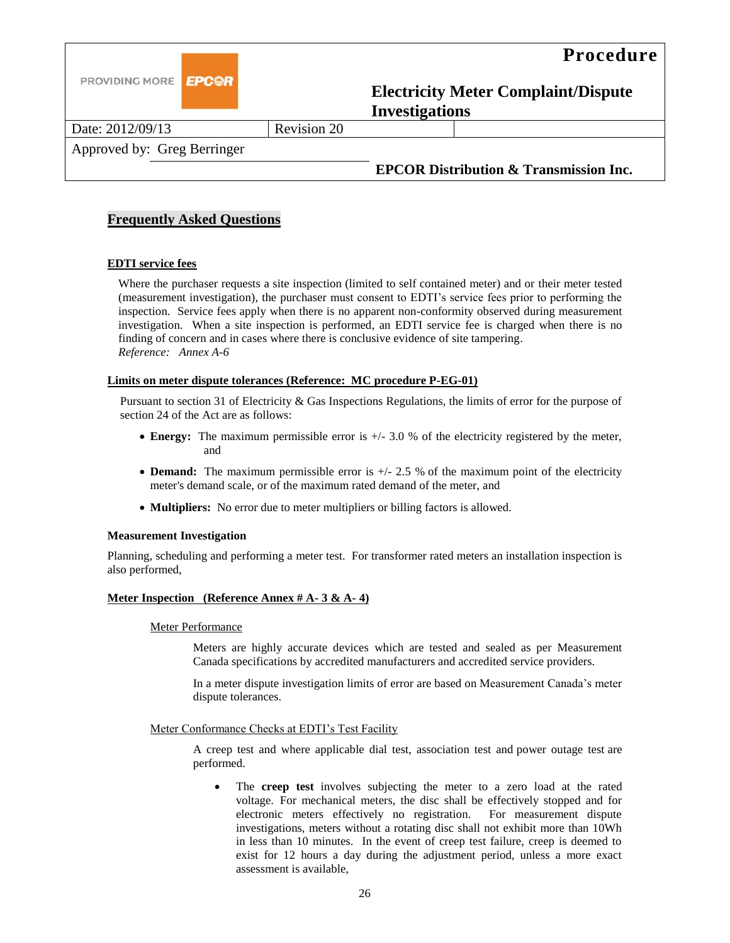

Date: 2012/09/13 Revision 20

Approved by: Greg Berringer

## **EPCOR Distribution & Transmission Inc.**

## **Frequently Asked Questions**

#### **EDTI service fees**

Where the purchaser requests a site inspection (limited to self contained meter) and or their meter tested (measurement investigation), the purchaser must consent to EDTI's service fees prior to performing the inspection. Service fees apply when there is no apparent non-conformity observed during measurement investigation. When a site inspection is performed, an EDTI service fee is charged when there is no finding of concern and in cases where there is conclusive evidence of site tampering. *Reference: Annex A-6* 

#### **Limits on meter dispute tolerances (Reference: MC procedure P-EG-01)**

Pursuant to section 31 of Electricity & Gas Inspections Regulations, the limits of error for the purpose of section 24 of the Act are as follows:

- **Energy:** The maximum permissible error is +/- 3.0 % of the electricity registered by the meter, and
- **Demand:** The maximum permissible error is  $+/- 2.5$  % of the maximum point of the electricity meter's demand scale, or of the maximum rated demand of the meter, and
- **Multipliers:** No error due to meter multipliers or billing factors is allowed.

#### **Measurement Investigation**

Planning, scheduling and performing a meter test. For transformer rated meters an installation inspection is also performed,

#### **Meter Inspection (Reference Annex # A- 3 & A- 4)**

#### Meter Performance

Meters are highly accurate devices which are tested and sealed as per Measurement Canada specifications by accredited manufacturers and accredited service providers.

In a meter dispute investigation limits of error are based on Measurement Canada's meter dispute tolerances.

#### Meter Conformance Checks at EDTI's Test Facility

A creep test and where applicable dial test, association test and power outage test are performed.

 The **creep test** involves subjecting the meter to a zero load at the rated voltage. For mechanical meters, the disc shall be effectively stopped and for electronic meters effectively no registration. For measurement dispute investigations, meters without a rotating disc shall not exhibit more than 10Wh in less than 10 minutes. In the event of creep test failure, creep is deemed to exist for 12 hours a day during the adjustment period, unless a more exact assessment is available,